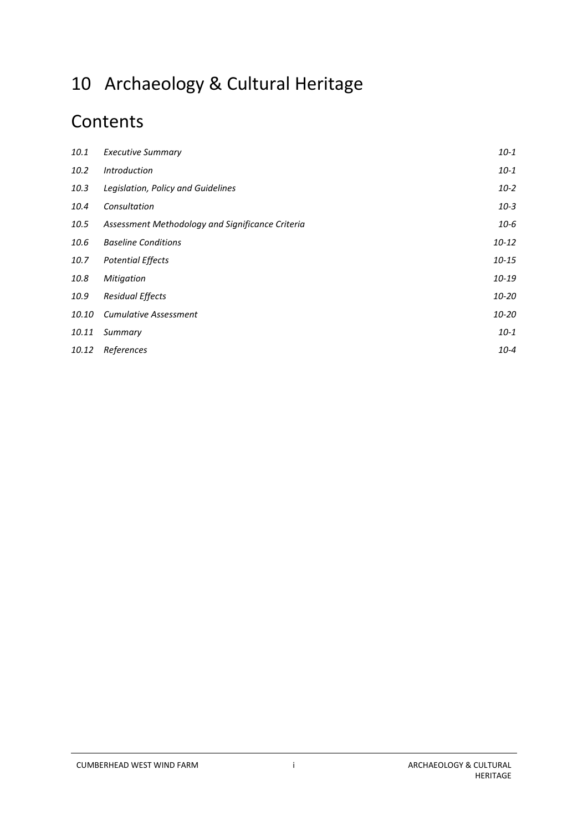# 10 Archaeology & Cultural Heritage

# **Contents**

| 10.1  | <b>Executive Summary</b>                         | $10-1$    |
|-------|--------------------------------------------------|-----------|
| 10.2  | <b>Introduction</b>                              | $10-1$    |
| 10.3  | Legislation, Policy and Guidelines               | 10-2      |
| 10.4  | Consultation                                     | $10-3$    |
| 10.5  | Assessment Methodology and Significance Criteria | $10-6$    |
| 10.6  | <b>Baseline Conditions</b>                       | $10 - 12$ |
| 10.7  | <b>Potential Effects</b>                         | $10 - 15$ |
| 10.8  | Mitigation                                       | $10 - 19$ |
| 10.9  | <b>Residual Effects</b>                          | 10-20     |
| 10.10 | <b>Cumulative Assessment</b>                     | $10 - 20$ |
| 10.11 | Summary                                          | $10 - 1$  |
| 10.12 | References                                       | $10 - 4$  |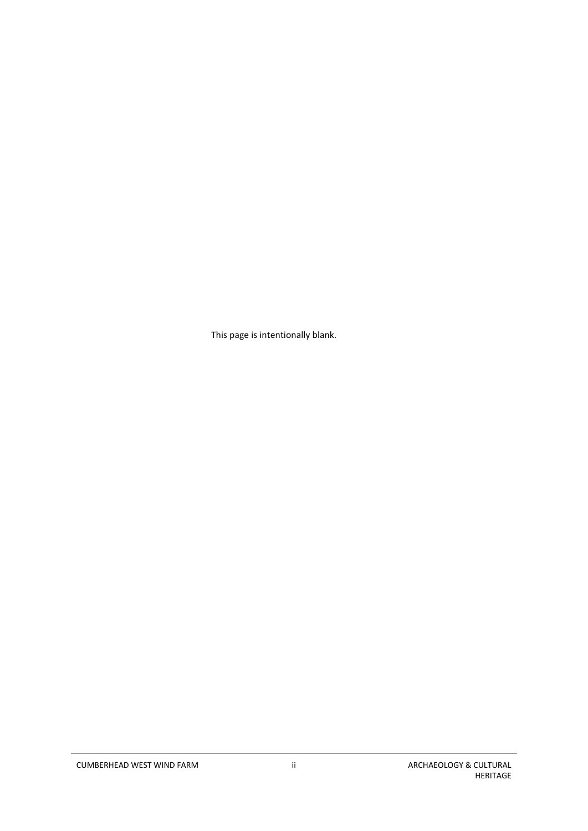This page is intentionally blank.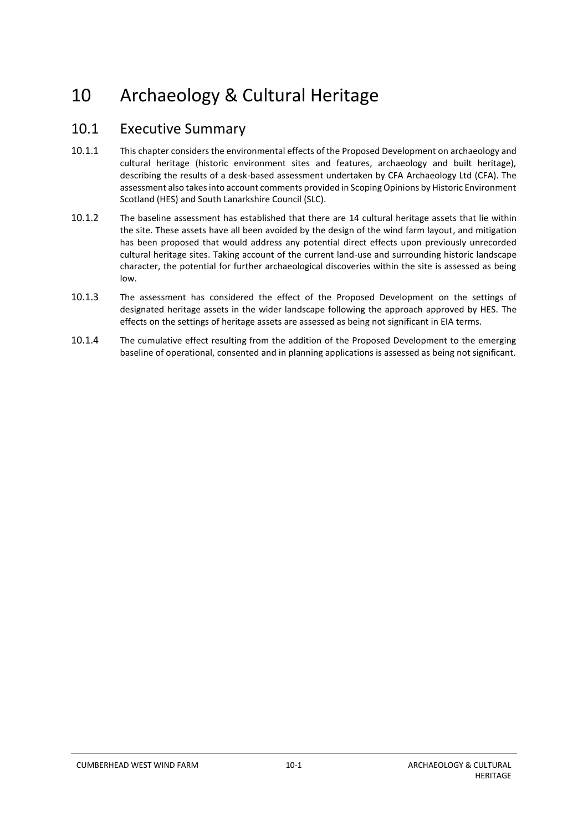# 10 Archaeology & Cultural Heritage

# <span id="page-2-0"></span>10.1 Executive Summary

- 10.1.1 This chapter considers the environmental effects of the Proposed Development on archaeology and cultural heritage (historic environment sites and features, archaeology and built heritage), describing the results of a desk-based assessment undertaken by CFA Archaeology Ltd (CFA). The assessment also takes into account comments provided in Scoping Opinions by Historic Environment Scotland (HES) and South Lanarkshire Council (SLC).
- 10.1.2 The baseline assessment has established that there are 14 cultural heritage assets that lie within the site. These assets have all been avoided by the design of the wind farm layout, and mitigation has been proposed that would address any potential direct effects upon previously unrecorded cultural heritage sites. Taking account of the current land-use and surrounding historic landscape character, the potential for further archaeological discoveries within the site is assessed as being low.
- 10.1.3 The assessment has considered the effect of the Proposed Development on the settings of designated heritage assets in the wider landscape following the approach approved by HES. The effects on the settings of heritage assets are assessed as being not significant in EIA terms.
- 10.1.4 The cumulative effect resulting from the addition of the Proposed Development to the emerging baseline of operational, consented and in planning applications is assessed as being not significant.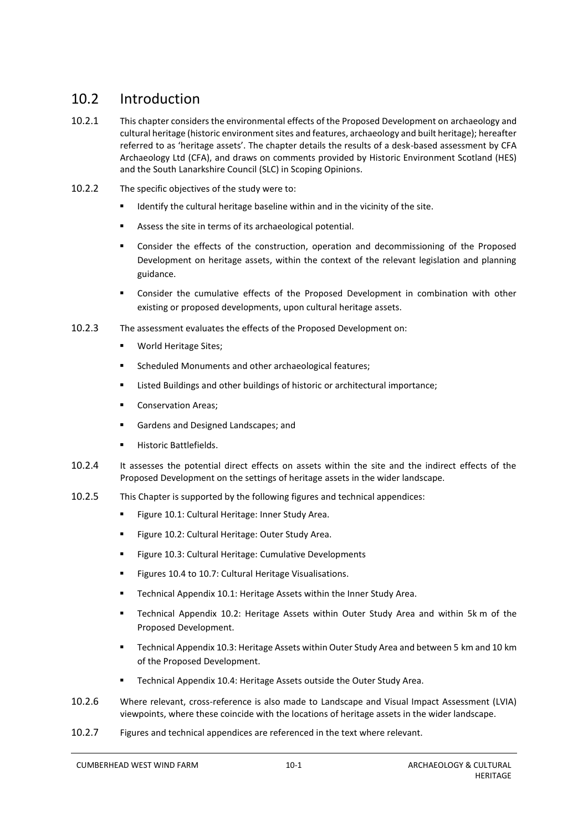# <span id="page-3-0"></span>10.2 Introduction

- 10.2.1 This chapter considers the environmental effects of the Proposed Development on archaeology and cultural heritage (historic environment sites and features, archaeology and built heritage); hereafter referred to as 'heritage assets'. The chapter details the results of a desk-based assessment by CFA Archaeology Ltd (CFA), and draws on comments provided by Historic Environment Scotland (HES) and the South Lanarkshire Council (SLC) in Scoping Opinions.
- 10.2.2 The specific objectives of the study were to:
	- Identify the cultural heritage baseline within and in the vicinity of the site.
	- Assess the site in terms of its archaeological potential.
	- Consider the effects of the construction, operation and decommissioning of the Proposed Development on heritage assets, within the context of the relevant legislation and planning guidance.
	- Consider the cumulative effects of the Proposed Development in combination with other existing or proposed developments, upon cultural heritage assets.
- 10.2.3 The assessment evaluates the effects of the Proposed Development on:
	- World Heritage Sites;
	- Scheduled Monuments and other archaeological features;
	- Listed Buildings and other buildings of historic or architectural importance;
	- Conservation Areas;
	- Gardens and Designed Landscapes; and
	- **Historic Battlefields.**
- 10.2.4 It assesses the potential direct effects on assets within the site and the indirect effects of the Proposed Development on the settings of heritage assets in the wider landscape.
- 10.2.5 This Chapter is supported by the following figures and technical appendices:
	- Figure 10.1: Cultural Heritage: Inner Study Area.
	- Figure 10.2: Cultural Heritage: Outer Study Area.
	- Figure 10.3: Cultural Heritage: Cumulative Developments
	- Figures 10.4 to 10.7: Cultural Heritage Visualisations.
	- Technical Appendix 10.1: Heritage Assets within the Inner Study Area.
	- **E** Technical Appendix 10.2: Heritage Assets within Outer Study Area and within 5k m of the Proposed Development.
	- **E** Technical Appendix 10.3: Heritage Assets within Outer Study Area and between 5 km and 10 km of the Proposed Development.
	- Technical Appendix 10.4: Heritage Assets outside the Outer Study Area.
- 10.2.6 Where relevant, cross-reference is also made to Landscape and Visual Impact Assessment (LVIA) viewpoints, where these coincide with the locations of heritage assets in the wider landscape.
- 10.2.7 Figures and technical appendices are referenced in the text where relevant.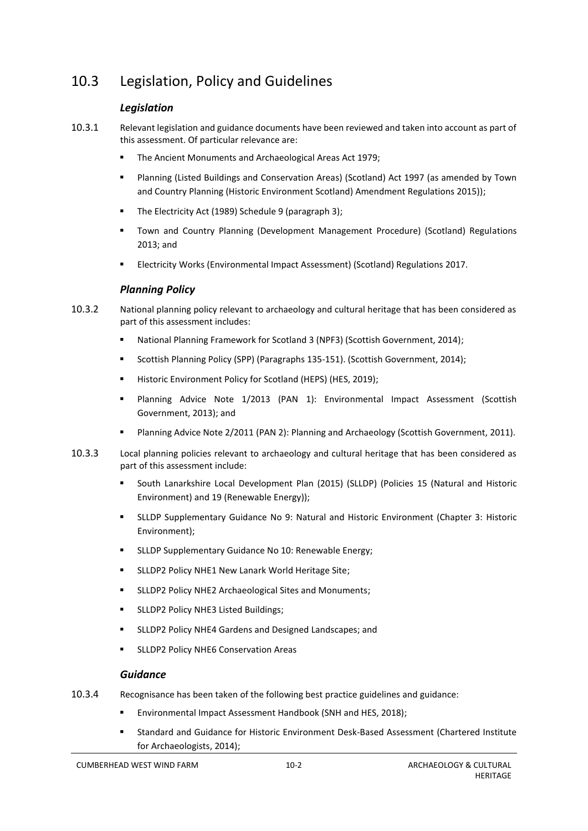# <span id="page-4-0"></span>10.3 Legislation, Policy and Guidelines

## *Legislation*

- 10.3.1 Relevant legislation and guidance documents have been reviewed and taken into account as part of this assessment. Of particular relevance are:
	- The Ancient Monuments and Archaeological Areas Act 1979;
	- Planning (Listed Buildings and Conservation Areas) (Scotland) Act 1997 (as amended by Town and Country Planning (Historic Environment Scotland) Amendment Regulations 2015));
	- The Electricity Act (1989) Schedule 9 (paragraph 3);
	- Town and Country Planning (Development Management Procedure) (Scotland) Regulations 2013; and
	- Electricity Works (Environmental Impact Assessment) (Scotland) Regulations 2017.

# *Planning Policy*

- 10.3.2 National planning policy relevant to archaeology and cultural heritage that has been considered as part of this assessment includes:
	- National Planning Framework for Scotland 3 (NPF3) (Scottish Government, 2014);
	- Scottish Planning Policy (SPP) (Paragraphs 135-151). (Scottish Government, 2014);
	- Historic Environment Policy for Scotland (HEPS) (HES, 2019);
	- Planning Advice Note 1/2013 (PAN 1): Environmental Impact Assessment (Scottish Government, 2013); and
	- Planning Advice Note 2/2011 (PAN 2): Planning and Archaeology (Scottish Government, 2011).
- 10.3.3 Local planning policies relevant to archaeology and cultural heritage that has been considered as part of this assessment include:
	- South Lanarkshire Local Development Plan (2015) (SLLDP) (Policies 15 (Natural and Historic Environment) and 19 (Renewable Energy));
	- **•** SLLDP Supplementary Guidance No 9: Natural and Historic Environment (Chapter 3: Historic Environment);
	- **EXECTE SELLDP Supplementary Guidance No 10: Renewable Energy;**
	- SLLDP2 Policy NHE1 New Lanark World Heritage Site;
	- SLLDP2 Policy NHE2 Archaeological Sites and Monuments;
	- **■** SLLDP2 Policy NHE3 Listed Buildings;
	- SLLDP2 Policy NHE4 Gardens and Designed Landscapes; and
	- **■** SLLDP2 Policy NHE6 Conservation Areas

### *Guidance*

- 10.3.4 Recognisance has been taken of the following best practice guidelines and guidance:
	- Environmental Impact Assessment Handbook (SNH and HES, 2018):
	- Standard and Guidance for Historic Environment Desk-Based Assessment (Chartered Institute for Archaeologists, 2014);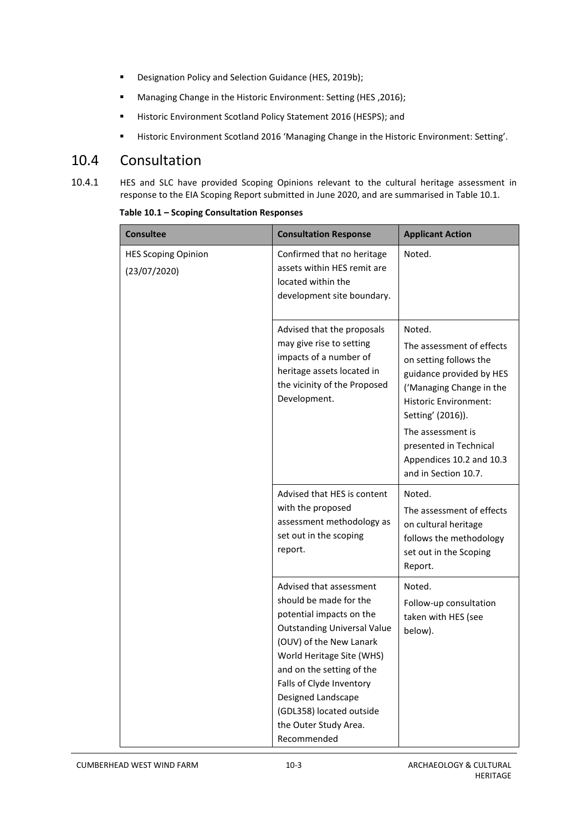- Designation Policy and Selection Guidance (HES, 2019b);
- Managing Change in the Historic Environment: Setting (HES, 2016);
- Historic Environment Scotland Policy Statement 2016 (HESPS); and
- Historic Environment Scotland 2016 'Managing Change in the Historic Environment: Setting'.

# <span id="page-5-0"></span>10.4 Consultation

10.4.1 HES and SLC have provided Scoping Opinions relevant to the cultural heritage assessment in response to the EIA Scoping Report submitted in June 2020, and are summarised in Table 10.1.

| <b>Consultee</b>                           | <b>Consultation Response</b>                                                                                                                                                                                                                                                                                                   | <b>Applicant Action</b>                                                                                                                                                                                                                                                       |
|--------------------------------------------|--------------------------------------------------------------------------------------------------------------------------------------------------------------------------------------------------------------------------------------------------------------------------------------------------------------------------------|-------------------------------------------------------------------------------------------------------------------------------------------------------------------------------------------------------------------------------------------------------------------------------|
| <b>HES Scoping Opinion</b><br>(23/07/2020) | Confirmed that no heritage<br>assets within HES remit are<br>located within the<br>development site boundary.                                                                                                                                                                                                                  | Noted.                                                                                                                                                                                                                                                                        |
|                                            | Advised that the proposals<br>may give rise to setting<br>impacts of a number of<br>heritage assets located in<br>the vicinity of the Proposed<br>Development.                                                                                                                                                                 | Noted.<br>The assessment of effects<br>on setting follows the<br>guidance provided by HES<br>('Managing Change in the<br><b>Historic Environment:</b><br>Setting' (2016)).<br>The assessment is<br>presented in Technical<br>Appendices 10.2 and 10.3<br>and in Section 10.7. |
|                                            | Advised that HES is content<br>with the proposed<br>assessment methodology as<br>set out in the scoping<br>report.                                                                                                                                                                                                             | Noted.<br>The assessment of effects<br>on cultural heritage<br>follows the methodology<br>set out in the Scoping<br>Report.                                                                                                                                                   |
|                                            | Advised that assessment<br>should be made for the<br>potential impacts on the<br><b>Outstanding Universal Value</b><br>(OUV) of the New Lanark<br>World Heritage Site (WHS)<br>and on the setting of the<br>Falls of Clyde Inventory<br>Designed Landscape<br>(GDL358) located outside<br>the Outer Study Area.<br>Recommended | Noted.<br>Follow-up consultation<br>taken with HES (see<br>below).                                                                                                                                                                                                            |

**Table 10.1 – Scoping Consultation Responses**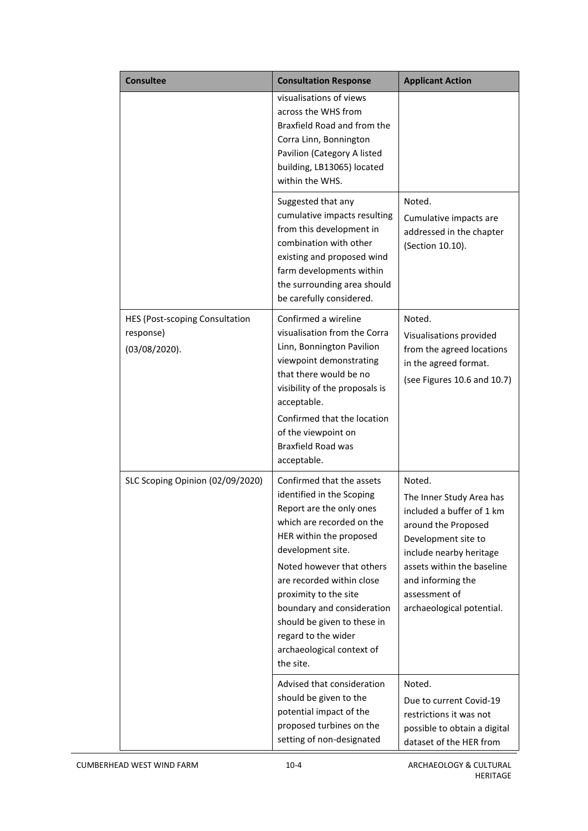| <b>Consultee</b>                                             | <b>Applicant Action</b><br><b>Consultation Response</b>                                                                                                                                                                                                                                                                                                                          |                                                                                                                                                                                                                                           |
|--------------------------------------------------------------|----------------------------------------------------------------------------------------------------------------------------------------------------------------------------------------------------------------------------------------------------------------------------------------------------------------------------------------------------------------------------------|-------------------------------------------------------------------------------------------------------------------------------------------------------------------------------------------------------------------------------------------|
|                                                              | visualisations of views<br>across the WHS from<br>Braxfield Road and from the<br>Corra Linn, Bonnington<br>Pavilion (Category A listed<br>building, LB13065) located<br>within the WHS.                                                                                                                                                                                          |                                                                                                                                                                                                                                           |
|                                                              | Suggested that any<br>cumulative impacts resulting<br>from this development in<br>combination with other<br>existing and proposed wind<br>farm developments within<br>the surrounding area should<br>be carefully considered.                                                                                                                                                    | Noted.<br>Cumulative impacts are<br>addressed in the chapter<br>(Section 10.10).                                                                                                                                                          |
| HES (Post-scoping Consultation<br>response)<br>(03/08/2020). | Confirmed a wireline<br>visualisation from the Corra<br>Linn, Bonnington Pavilion<br>viewpoint demonstrating<br>that there would be no<br>visibility of the proposals is<br>acceptable.<br>Confirmed that the location<br>of the viewpoint on<br>Braxfield Road was<br>acceptable.                                                                                               | Noted.<br>Visualisations provided<br>from the agreed locations<br>in the agreed format.<br>(see Figures 10.6 and 10.7)                                                                                                                    |
| SLC Scoping Opinion (02/09/2020)                             | Confirmed that the assets<br>identified in the Scoping<br>Report are the only ones<br>which are recorded on the<br>HER within the proposed<br>development site.<br>Noted however that others<br>are recorded within close<br>proximity to the site<br>boundary and consideration<br>should be given to these in<br>regard to the wider<br>archaeological context of<br>the site. | Noted.<br>The Inner Study Area has<br>included a buffer of 1 km<br>around the Proposed<br>Development site to<br>include nearby heritage<br>assets within the baseline<br>and informing the<br>assessment of<br>archaeological potential. |
|                                                              | Advised that consideration<br>should be given to the<br>potential impact of the<br>proposed turbines on the<br>setting of non-designated                                                                                                                                                                                                                                         | Noted.<br>Due to current Covid-19<br>restrictions it was not<br>possible to obtain a digital<br>dataset of the HER from                                                                                                                   |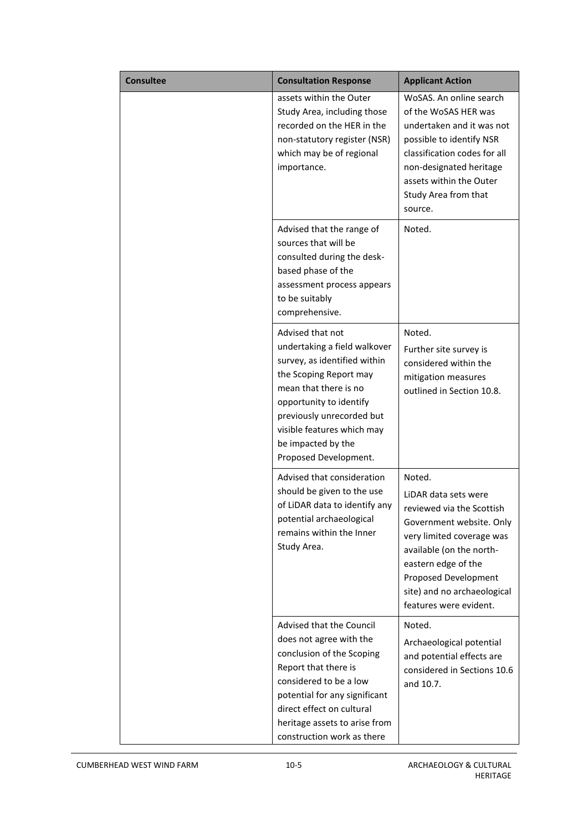| <b>Consultee</b> | <b>Consultation Response</b>                                                                                                                                                                                                                                             | <b>Applicant Action</b>                                                                                                                                                                                                                                  |
|------------------|--------------------------------------------------------------------------------------------------------------------------------------------------------------------------------------------------------------------------------------------------------------------------|----------------------------------------------------------------------------------------------------------------------------------------------------------------------------------------------------------------------------------------------------------|
|                  | assets within the Outer<br>Study Area, including those<br>recorded on the HER in the<br>non-statutory register (NSR)<br>which may be of regional<br>importance.                                                                                                          | WoSAS. An online search<br>of the WoSAS HER was<br>undertaken and it was not<br>possible to identify NSR<br>classification codes for all<br>non-designated heritage<br>assets within the Outer<br>Study Area from that<br>source.                        |
|                  | Advised that the range of<br>sources that will be<br>consulted during the desk-<br>based phase of the<br>assessment process appears<br>to be suitably<br>comprehensive.                                                                                                  | Noted.                                                                                                                                                                                                                                                   |
|                  | Advised that not<br>undertaking a field walkover<br>survey, as identified within<br>the Scoping Report may<br>mean that there is no<br>opportunity to identify<br>previously unrecorded but<br>visible features which may<br>be impacted by the<br>Proposed Development. | Noted.<br>Further site survey is<br>considered within the<br>mitigation measures<br>outlined in Section 10.8.                                                                                                                                            |
|                  | Advised that consideration<br>should be given to the use<br>of LiDAR data to identify any<br>potential archaeological<br>remains within the Inner<br>Study Area.                                                                                                         | Noted.<br>LIDAR data sets were<br>reviewed via the Scottish<br>Government website. Only<br>very limited coverage was<br>available (on the north-<br>eastern edge of the<br>Proposed Development<br>site) and no archaeological<br>features were evident. |
|                  | Advised that the Council<br>does not agree with the<br>conclusion of the Scoping<br>Report that there is<br>considered to be a low<br>potential for any significant<br>direct effect on cultural<br>heritage assets to arise from<br>construction work as there          | Noted.<br>Archaeological potential<br>and potential effects are<br>considered in Sections 10.6<br>and 10.7.                                                                                                                                              |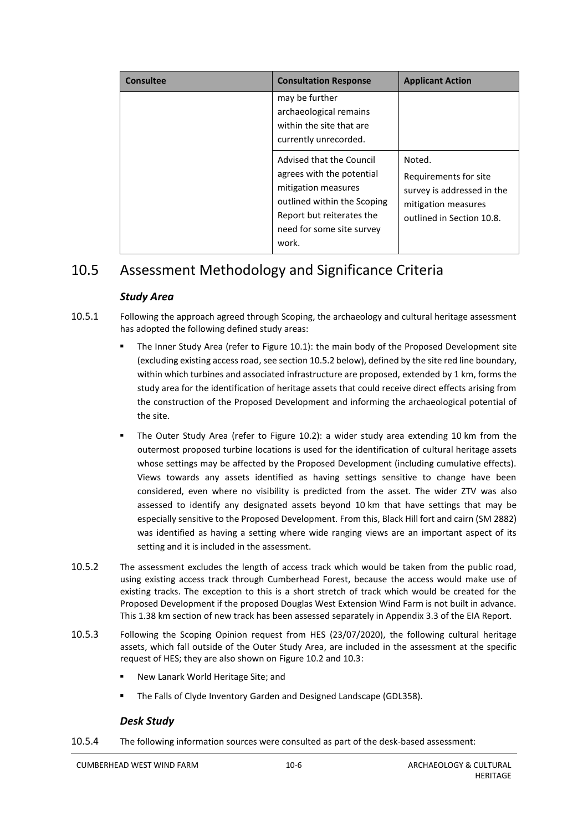| <b>Consultee</b> | <b>Consultation Response</b>                                                                                                                                                   | <b>Applicant Action</b>                                                                                           |
|------------------|--------------------------------------------------------------------------------------------------------------------------------------------------------------------------------|-------------------------------------------------------------------------------------------------------------------|
|                  | may be further<br>archaeological remains<br>within the site that are<br>currently unrecorded.                                                                                  |                                                                                                                   |
|                  | Advised that the Council<br>agrees with the potential<br>mitigation measures<br>outlined within the Scoping<br>Report but reiterates the<br>need for some site survey<br>work. | Noted.<br>Requirements for site<br>survey is addressed in the<br>mitigation measures<br>outlined in Section 10.8. |

# <span id="page-8-0"></span>10.5 Assessment Methodology and Significance Criteria

# *Study Area*

- 10.5.1 Following the approach agreed through Scoping, the archaeology and cultural heritage assessment has adopted the following defined study areas:
	- The Inner Study Area (refer to Figure 10.1): the main body of the Proposed Development site (excluding existing access road, see section 10.5.2 below), defined by the site red line boundary, within which turbines and associated infrastructure are proposed, extended by 1 km, forms the study area for the identification of heritage assets that could receive direct effects arising from the construction of the Proposed Development and informing the archaeological potential of the site.
	- The Outer Study Area (refer to Figure 10.2): a wider study area extending 10 km from the outermost proposed turbine locations is used for the identification of cultural heritage assets whose settings may be affected by the Proposed Development (including cumulative effects). Views towards any assets identified as having settings sensitive to change have been considered, even where no visibility is predicted from the asset. The wider ZTV was also assessed to identify any designated assets beyond 10 km that have settings that may be especially sensitive to the Proposed Development. From this, Black Hill fort and cairn (SM 2882) was identified as having a setting where wide ranging views are an important aspect of its setting and it is included in the assessment.
- 10.5.2 The assessment excludes the length of access track which would be taken from the public road, using existing access track through Cumberhead Forest, because the access would make use of existing tracks. The exception to this is a short stretch of track which would be created for the Proposed Development if the proposed Douglas West Extension Wind Farm is not built in advance. This 1.38 km section of new track has been assessed separately in Appendix 3.3 of the EIA Report.
- 10.5.3 Following the Scoping Opinion request from HES (23/07/2020), the following cultural heritage assets, which fall outside of the Outer Study Area, are included in the assessment at the specific request of HES; they are also shown on Figure 10.2 and 10.3:
	- New Lanark World Heritage Site; and
	- The Falls of Clyde Inventory Garden and Designed Landscape (GDL358).

### *Desk Study*

10.5.4 The following information sources were consulted as part of the desk-based assessment: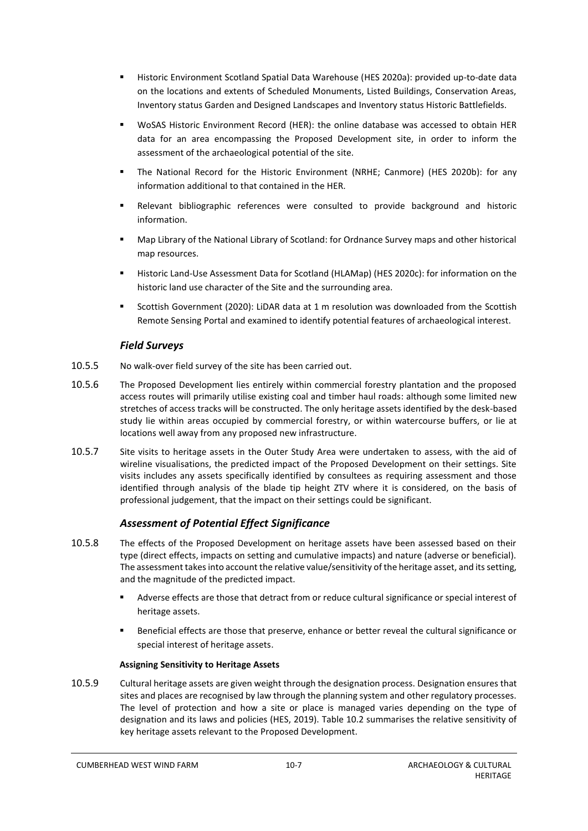- Historic Environment Scotland Spatial Data Warehouse (HES 2020a): provided up-to-date data on the locations and extents of Scheduled Monuments, Listed Buildings, Conservation Areas, Inventory status Garden and Designed Landscapes and Inventory status Historic Battlefields.
- WoSAS Historic Environment Record (HER): the online database was accessed to obtain HER data for an area encompassing the Proposed Development site, in order to inform the assessment of the archaeological potential of the site.
- The National Record for the Historic Environment (NRHE; Canmore) (HES 2020b): for any information additional to that contained in the HER.
- **■** Relevant bibliographic references were consulted to provide background and historic information.
- Map Library of the National Library of Scotland: for Ordnance Survey maps and other historical map resources.
- **EXECT:** Historic Land-Use Assessment Data for Scotland (HLAMap) (HES 2020c): for information on the historic land use character of the Site and the surrounding area.
- Scottish Government (2020): LiDAR data at 1 m resolution was downloaded from the Scottish Remote Sensing Portal and examined to identify potential features of archaeological interest.

### *Field Surveys*

- 10.5.5 No walk-over field survey of the site has been carried out.
- 10.5.6 The Proposed Development lies entirely within commercial forestry plantation and the proposed access routes will primarily utilise existing coal and timber haul roads: although some limited new stretches of access tracks will be constructed. The only heritage assets identified by the desk-based study lie within areas occupied by commercial forestry, or within watercourse buffers, or lie at locations well away from any proposed new infrastructure.
- 10.5.7 Site visits to heritage assets in the Outer Study Area were undertaken to assess, with the aid of wireline visualisations, the predicted impact of the Proposed Development on their settings. Site visits includes any assets specifically identified by consultees as requiring assessment and those identified through analysis of the blade tip height ZTV where it is considered, on the basis of professional judgement, that the impact on their settings could be significant.

### *Assessment of Potential Effect Significance*

- 10.5.8 The effects of the Proposed Development on heritage assets have been assessed based on their type (direct effects, impacts on setting and cumulative impacts) and nature (adverse or beneficial). The assessment takes into account the relative value/sensitivity of the heritage asset, and its setting, and the magnitude of the predicted impact.
	- Adverse effects are those that detract from or reduce cultural significance or special interest of heritage assets.
	- **EXECTE EXECTE AT A BET EXECTE FIGHTER IS EXECTED FOR THE CONTENT** SERIFFECTED FIGNORFIES OF BETHIFICANCE OF special interest of heritage assets.

### **Assigning Sensitivity to Heritage Assets**

10.5.9 Cultural heritage assets are given weight through the designation process. Designation ensures that sites and places are recognised by law through the planning system and other regulatory processes. The level of protection and how a site or place is managed varies depending on the type of designation and its laws and policies (HES, 2019). Table 10.2 summarises the relative sensitivity of key heritage assets relevant to the Proposed Development.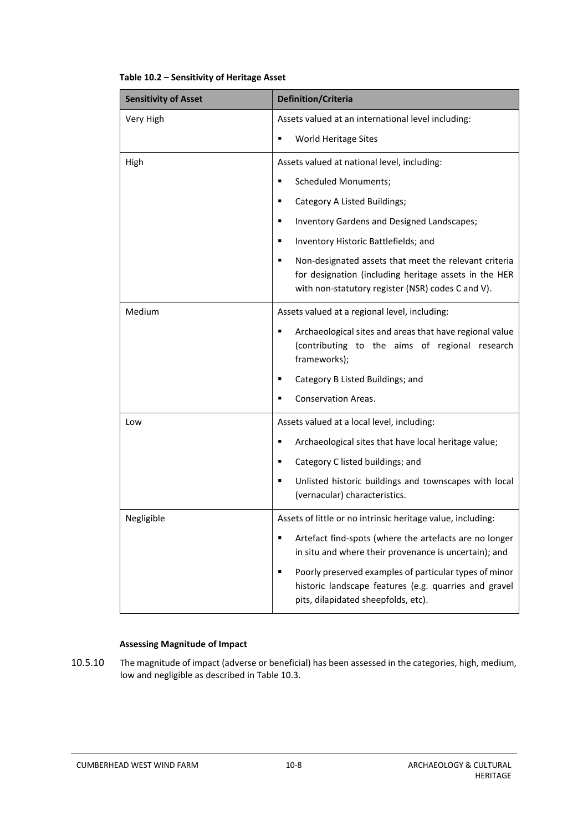| <b>Sensitivity of Asset</b> | <b>Definition/Criteria</b>                                                                                                                                               |
|-----------------------------|--------------------------------------------------------------------------------------------------------------------------------------------------------------------------|
| Very High                   | Assets valued at an international level including:                                                                                                                       |
|                             | ٠<br>World Heritage Sites                                                                                                                                                |
| High                        | Assets valued at national level, including:                                                                                                                              |
|                             | <b>Scheduled Monuments;</b><br>٠                                                                                                                                         |
|                             | ٠<br>Category A Listed Buildings;                                                                                                                                        |
|                             | Inventory Gardens and Designed Landscapes;<br>٠                                                                                                                          |
|                             | Inventory Historic Battlefields; and<br>٠                                                                                                                                |
|                             | Non-designated assets that meet the relevant criteria<br>٠<br>for designation (including heritage assets in the HER<br>with non-statutory register (NSR) codes C and V). |
| Medium                      | Assets valued at a regional level, including:                                                                                                                            |
|                             | Archaeological sites and areas that have regional value<br>٠<br>(contributing to the aims of regional research<br>frameworks);                                           |
|                             | Category B Listed Buildings; and<br>٠                                                                                                                                    |
|                             | <b>Conservation Areas.</b><br>٠                                                                                                                                          |
| Low                         | Assets valued at a local level, including:                                                                                                                               |
|                             | Archaeological sites that have local heritage value;                                                                                                                     |
|                             | Category C listed buildings; and<br>٠                                                                                                                                    |
|                             | Unlisted historic buildings and townscapes with local<br>٠<br>(vernacular) characteristics.                                                                              |
| Negligible                  | Assets of little or no intrinsic heritage value, including:                                                                                                              |
|                             | Artefact find-spots (where the artefacts are no longer<br>in situ and where their provenance is uncertain); and                                                          |
|                             | Poorly preserved examples of particular types of minor<br>historic landscape features (e.g. quarries and gravel<br>pits, dilapidated sheepfolds, etc).                   |

### **Table 10.2 – Sensitivity of Heritage Asset**

### **Assessing Magnitude of Impact**

10.5.10 The magnitude of impact (adverse or beneficial) has been assessed in the categories, high, medium, low and negligible as described in Table 10.3.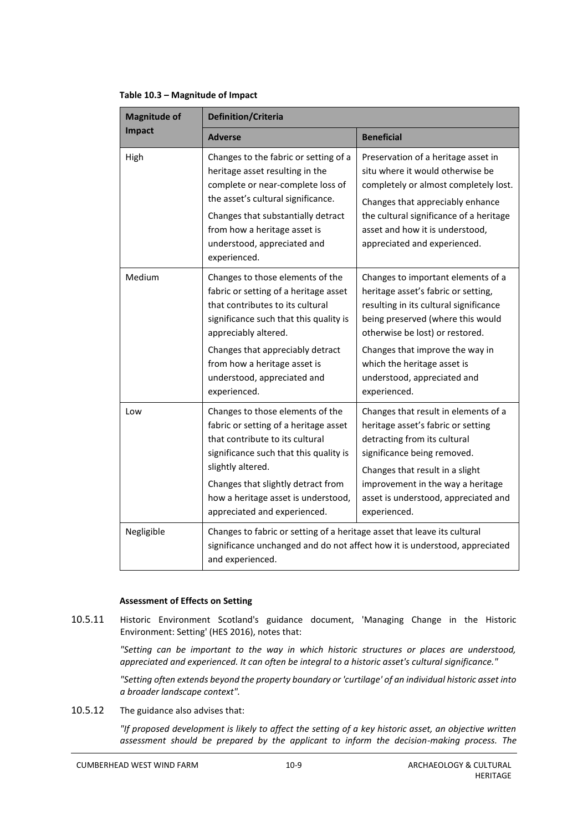| <b>Magnitude of</b> | Definition/Criteria                                                                                                                                                                                                                                                                                |                                                                                                                                                                                                                                                                                                              |  |  |  |
|---------------------|----------------------------------------------------------------------------------------------------------------------------------------------------------------------------------------------------------------------------------------------------------------------------------------------------|--------------------------------------------------------------------------------------------------------------------------------------------------------------------------------------------------------------------------------------------------------------------------------------------------------------|--|--|--|
| Impact              | <b>Adverse</b>                                                                                                                                                                                                                                                                                     | <b>Beneficial</b>                                                                                                                                                                                                                                                                                            |  |  |  |
| High                | Changes to the fabric or setting of a<br>heritage asset resulting in the<br>complete or near-complete loss of<br>the asset's cultural significance.<br>Changes that substantially detract<br>from how a heritage asset is<br>understood, appreciated and<br>experienced.                           | Preservation of a heritage asset in<br>situ where it would otherwise be<br>completely or almost completely lost.<br>Changes that appreciably enhance<br>the cultural significance of a heritage<br>asset and how it is understood,<br>appreciated and experienced.                                           |  |  |  |
| Medium              | Changes to those elements of the<br>fabric or setting of a heritage asset<br>that contributes to its cultural<br>significance such that this quality is<br>appreciably altered.<br>Changes that appreciably detract<br>from how a heritage asset is<br>understood, appreciated and<br>experienced. | Changes to important elements of a<br>heritage asset's fabric or setting,<br>resulting in its cultural significance<br>being preserved (where this would<br>otherwise be lost) or restored.<br>Changes that improve the way in<br>which the heritage asset is<br>understood, appreciated and<br>experienced. |  |  |  |
| Low                 | Changes to those elements of the<br>fabric or setting of a heritage asset<br>that contribute to its cultural<br>significance such that this quality is<br>slightly altered.<br>Changes that slightly detract from<br>how a heritage asset is understood,<br>appreciated and experienced.           | Changes that result in elements of a<br>heritage asset's fabric or setting<br>detracting from its cultural<br>significance being removed.<br>Changes that result in a slight<br>improvement in the way a heritage<br>asset is understood, appreciated and<br>experienced.                                    |  |  |  |
| Negligible          | Changes to fabric or setting of a heritage asset that leave its cultural<br>significance unchanged and do not affect how it is understood, appreciated<br>and experienced.                                                                                                                         |                                                                                                                                                                                                                                                                                                              |  |  |  |

### **Table 10.3 – Magnitude of Impact**

#### **Assessment of Effects on Setting**

10.5.11 Historic Environment Scotland's guidance document, 'Managing Change in the Historic Environment: Setting' (HES 2016), notes that:

> *"Setting can be important to the way in which historic structures or places are understood, appreciated and experienced. It can often be integral to a historic asset's cultural significance."*

> *"Setting often extends beyond the property boundary or 'curtilage' of an individual historic asset into a broader landscape context".*

10.5.12 The guidance also advises that:

*"If proposed development is likely to affect the setting of a key historic asset, an objective written assessment should be prepared by the applicant to inform the decision-making process. The*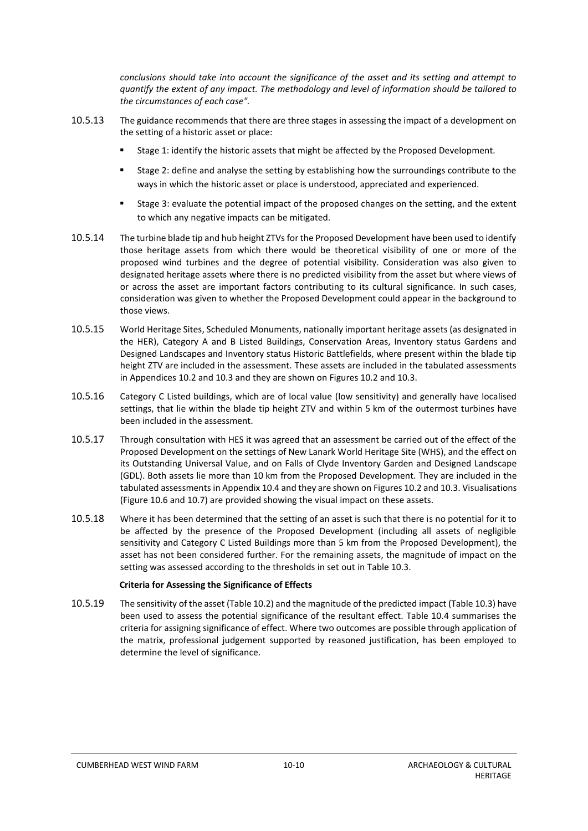*conclusions should take into account the significance of the asset and its setting and attempt to quantify the extent of any impact. The methodology and level of information should be tailored to the circumstances of each case".*

- 10.5.13 The guidance recommends that there are three stages in assessing the impact of a development on the setting of a historic asset or place:
	- Stage 1: identify the historic assets that might be affected by the Proposed Development.
	- Stage 2: define and analyse the setting by establishing how the surroundings contribute to the ways in which the historic asset or place is understood, appreciated and experienced.
	- Stage 3: evaluate the potential impact of the proposed changes on the setting, and the extent to which any negative impacts can be mitigated.
- 10.5.14 The turbine blade tip and hub height ZTVs for the Proposed Development have been used to identify those heritage assets from which there would be theoretical visibility of one or more of the proposed wind turbines and the degree of potential visibility. Consideration was also given to designated heritage assets where there is no predicted visibility from the asset but where views of or across the asset are important factors contributing to its cultural significance. In such cases, consideration was given to whether the Proposed Development could appear in the background to those views.
- 10.5.15 World Heritage Sites, Scheduled Monuments, nationally important heritage assets (as designated in the HER), Category A and B Listed Buildings, Conservation Areas, Inventory status Gardens and Designed Landscapes and Inventory status Historic Battlefields, where present within the blade tip height ZTV are included in the assessment. These assets are included in the tabulated assessments in Appendices 10.2 and 10.3 and they are shown on Figures 10.2 and 10.3.
- 10.5.16 Category C Listed buildings, which are of local value (low sensitivity) and generally have localised settings, that lie within the blade tip height ZTV and within 5 km of the outermost turbines have been included in the assessment.
- 10.5.17 Through consultation with HES it was agreed that an assessment be carried out of the effect of the Proposed Development on the settings of New Lanark World Heritage Site (WHS), and the effect on its Outstanding Universal Value, and on Falls of Clyde Inventory Garden and Designed Landscape (GDL). Both assets lie more than 10 km from the Proposed Development. They are included in the tabulated assessments in Appendix 10.4 and they are shown on Figures 10.2 and 10.3. Visualisations (Figure 10.6 and 10.7) are provided showing the visual impact on these assets.
- 10.5.18 Where it has been determined that the setting of an asset is such that there is no potential for it to be affected by the presence of the Proposed Development (including all assets of negligible sensitivity and Category C Listed Buildings more than 5 km from the Proposed Development), the asset has not been considered further. For the remaining assets, the magnitude of impact on the setting was assessed according to the thresholds in set out in Table 10.3.

### **Criteria for Assessing the Significance of Effects**

10.5.19 The sensitivity of the asset (Table 10.2) and the magnitude of the predicted impact (Table 10.3) have been used to assess the potential significance of the resultant effect. Table 10.4 summarises the criteria for assigning significance of effect. Where two outcomes are possible through application of the matrix, professional judgement supported by reasoned justification, has been employed to determine the level of significance.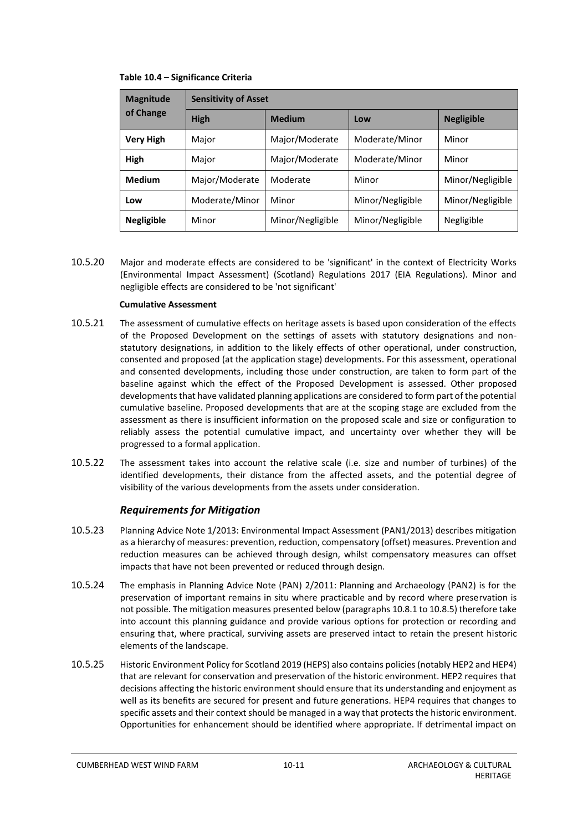### **Table 10.4 – Significance Criteria**

| <b>Magnitude</b>  | <b>Sensitivity of Asset</b> |                  |                  |                   |  |  |
|-------------------|-----------------------------|------------------|------------------|-------------------|--|--|
| of Change         | <b>High</b>                 | <b>Medium</b>    | Low              | <b>Negligible</b> |  |  |
| <b>Very High</b>  | Major                       | Major/Moderate   | Moderate/Minor   | Minor             |  |  |
| High              | Major                       | Major/Moderate   | Moderate/Minor   |                   |  |  |
| <b>Medium</b>     | Major/Moderate              | Moderate         | Minor            | Minor/Negligible  |  |  |
| Low               | Moderate/Minor              | Minor            | Minor/Negligible | Minor/Negligible  |  |  |
| <b>Negligible</b> | Minor                       | Minor/Negligible | Minor/Negligible | Negligible        |  |  |

10.5.20 Major and moderate effects are considered to be 'significant' in the context of Electricity Works (Environmental Impact Assessment) (Scotland) Regulations 2017 (EIA Regulations). Minor and negligible effects are considered to be 'not significant'

### **Cumulative Assessment**

- 10.5.21 The assessment of cumulative effects on heritage assets is based upon consideration of the effects of the Proposed Development on the settings of assets with statutory designations and nonstatutory designations, in addition to the likely effects of other operational, under construction, consented and proposed (at the application stage) developments. For this assessment, operational and consented developments, including those under construction, are taken to form part of the baseline against which the effect of the Proposed Development is assessed. Other proposed developments that have validated planning applications are considered to form part of the potential cumulative baseline. Proposed developments that are at the scoping stage are excluded from the assessment as there is insufficient information on the proposed scale and size or configuration to reliably assess the potential cumulative impact, and uncertainty over whether they will be progressed to a formal application.
- 10.5.22 The assessment takes into account the relative scale (i.e. size and number of turbines) of the identified developments, their distance from the affected assets, and the potential degree of visibility of the various developments from the assets under consideration.

### *Requirements for Mitigation*

- 10.5.23 Planning Advice Note 1/2013: Environmental Impact Assessment (PAN1/2013) describes mitigation as a hierarchy of measures: prevention, reduction, compensatory (offset) measures. Prevention and reduction measures can be achieved through design, whilst compensatory measures can offset impacts that have not been prevented or reduced through design.
- 10.5.24 The emphasis in Planning Advice Note (PAN) 2/2011: Planning and Archaeology (PAN2) is for the preservation of important remains in situ where practicable and by record where preservation is not possible. The mitigation measures presented below (paragraph[s 10.8.1](#page-21-1) t[o 10.8.5\)](#page-21-2) therefore take into account this planning guidance and provide various options for protection or recording and ensuring that, where practical, surviving assets are preserved intact to retain the present historic elements of the landscape.
- 10.5.25 Historic Environment Policy for Scotland 2019 (HEPS) also contains policies (notably HEP2 and HEP4) that are relevant for conservation and preservation of the historic environment. HEP2 requires that decisions affecting the historic environment should ensure that its understanding and enjoyment as well as its benefits are secured for present and future generations. HEP4 requires that changes to specific assets and their context should be managed in a way that protects the historic environment. Opportunities for enhancement should be identified where appropriate. If detrimental impact on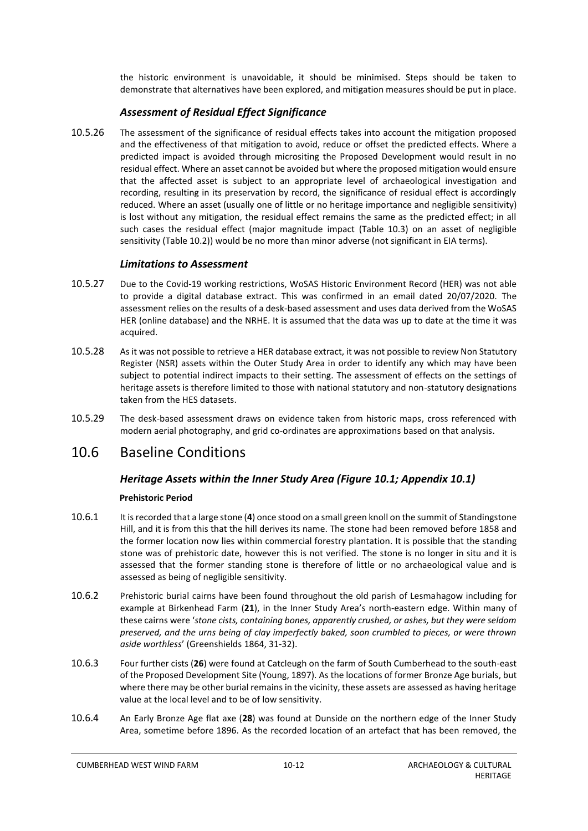the historic environment is unavoidable, it should be minimised. Steps should be taken to demonstrate that alternatives have been explored, and mitigation measures should be put in place.

## *Assessment of Residual Effect Significance*

10.5.26 The assessment of the significance of residual effects takes into account the mitigation proposed and the effectiveness of that mitigation to avoid, reduce or offset the predicted effects. Where a predicted impact is avoided through micrositing the Proposed Development would result in no residual effect. Where an asset cannot be avoided but where the proposed mitigation would ensure that the affected asset is subject to an appropriate level of archaeological investigation and recording, resulting in its preservation by record, the significance of residual effect is accordingly reduced. Where an asset (usually one of little or no heritage importance and negligible sensitivity) is lost without any mitigation, the residual effect remains the same as the predicted effect; in all such cases the residual effect (major magnitude impact (Table 10.3) on an asset of negligible sensitivity (Table 10.2)) would be no more than minor adverse (not significant in EIA terms).

### *Limitations to Assessment*

- 10.5.27 Due to the Covid-19 working restrictions, WoSAS Historic Environment Record (HER) was not able to provide a digital database extract. This was confirmed in an email dated 20/07/2020. The assessment relies on the results of a desk-based assessment and uses data derived from the WoSAS HER (online database) and the NRHE. It is assumed that the data was up to date at the time it was acquired.
- 10.5.28 As it was not possible to retrieve a HER database extract, it was not possible to review Non Statutory Register (NSR) assets within the Outer Study Area in order to identify any which may have been subject to potential indirect impacts to their setting. The assessment of effects on the settings of heritage assets is therefore limited to those with national statutory and non-statutory designations taken from the HES datasets.
- 10.5.29 The desk-based assessment draws on evidence taken from historic maps, cross referenced with modern aerial photography, and grid co-ordinates are approximations based on that analysis.

# <span id="page-14-0"></span>10.6 Baseline Conditions

### *Heritage Assets within the Inner Study Area (Figure 10.1; Appendix 10.1)*

### **Prehistoric Period**

- 10.6.1 It is recorded that a large stone (**4**) once stood on a small green knoll on the summit of Standingstone Hill, and it is from this that the hill derives its name. The stone had been removed before 1858 and the former location now lies within commercial forestry plantation. It is possible that the standing stone was of prehistoric date, however this is not verified. The stone is no longer in situ and it is assessed that the former standing stone is therefore of little or no archaeological value and is assessed as being of negligible sensitivity.
- 10.6.2 Prehistoric burial cairns have been found throughout the old parish of Lesmahagow including for example at Birkenhead Farm (**21**), in the Inner Study Area's north-eastern edge. Within many of these cairns were '*stone cists, containing bones, apparently crushed, or ashes, but they were seldom preserved, and the urns being of clay imperfectly baked, soon crumbled to pieces, or were thrown aside worthless*' (Greenshields 1864, 31-32).
- 10.6.3 Four further cists (**26**) were found at Catcleugh on the farm of South Cumberhead to the south-east of the Proposed Development Site (Young, 1897). As the locations of former Bronze Age burials, but where there may be other burial remains in the vicinity, these assets are assessed as having heritage value at the local level and to be of low sensitivity.
- 10.6.4 An Early Bronze Age flat axe (**28**) was found at Dunside on the northern edge of the Inner Study Area, sometime before 1896. As the recorded location of an artefact that has been removed, the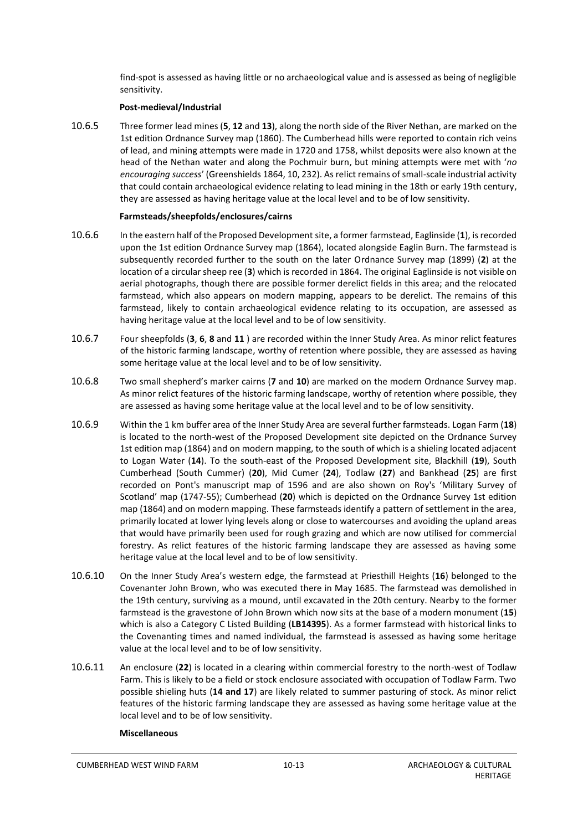find-spot is assessed as having little or no archaeological value and is assessed as being of negligible sensitivity.

### **Post-medieval/Industrial**

10.6.5 Three former lead mines (**5**, **12** and **13**), along the north side of the River Nethan, are marked on the 1st edition Ordnance Survey map (1860). The Cumberhead hills were reported to contain rich veins of lead, and mining attempts were made in 1720 and 1758, whilst deposits were also known at the head of the Nethan water and along the Pochmuir burn, but mining attempts were met with '*no encouraging success*' (Greenshields 1864, 10, 232). As relict remains of small-scale industrial activity that could contain archaeological evidence relating to lead mining in the 18th or early 19th century, they are assessed as having heritage value at the local level and to be of low sensitivity.

#### **Farmsteads/sheepfolds/enclosures/cairns**

- 10.6.6 In the eastern half of the Proposed Development site, a former farmstead, Eaglinside (**1**), is recorded upon the 1st edition Ordnance Survey map (1864), located alongside Eaglin Burn. The farmstead is subsequently recorded further to the south on the later Ordnance Survey map (1899) (**2**) at the location of a circular sheep ree (**3**) which is recorded in 1864. The original Eaglinside is not visible on aerial photographs, though there are possible former derelict fields in this area; and the relocated farmstead, which also appears on modern mapping, appears to be derelict. The remains of this farmstead, likely to contain archaeological evidence relating to its occupation, are assessed as having heritage value at the local level and to be of low sensitivity.
- 10.6.7 Four sheepfolds (**3**, **6**, **8** and **11** ) are recorded within the Inner Study Area. As minor relict features of the historic farming landscape, worthy of retention where possible, they are assessed as having some heritage value at the local level and to be of low sensitivity.
- 10.6.8 Two small shepherd's marker cairns (**7** and **10**) are marked on the modern Ordnance Survey map. As minor relict features of the historic farming landscape, worthy of retention where possible, they are assessed as having some heritage value at the local level and to be of low sensitivity.
- 10.6.9 Within the 1 km buffer area of the Inner Study Area are several further farmsteads. Logan Farm (**18**) is located to the north-west of the Proposed Development site depicted on the Ordnance Survey 1st edition map (1864) and on modern mapping, to the south of which is a shieling located adjacent to Logan Water (**14**). To the south-east of the Proposed Development site, Blackhill (**19**), South Cumberhead (South Cummer) (**20**), Mid Cumer (**24**), Todlaw (**27**) and Bankhead (**25**) are first recorded on Pont's manuscript map of 1596 and are also shown on Roy's 'Military Survey of Scotland' map (1747-55); Cumberhead (**20**) which is depicted on the Ordnance Survey 1st edition map (1864) and on modern mapping. These farmsteads identify a pattern of settlement in the area, primarily located at lower lying levels along or close to watercourses and avoiding the upland areas that would have primarily been used for rough grazing and which are now utilised for commercial forestry. As relict features of the historic farming landscape they are assessed as having some heritage value at the local level and to be of low sensitivity.
- 10.6.10 On the Inner Study Area's western edge, the farmstead at Priesthill Heights (**16**) belonged to the Covenanter John Brown, who was executed there in May 1685. The farmstead was demolished in the 19th century, surviving as a mound, until excavated in the 20th century. Nearby to the former farmstead is the gravestone of John Brown which now sits at the base of a modern monument (**15**) which is also a Category C Listed Building (**LB14395**). As a former farmstead with historical links to the Covenanting times and named individual, the farmstead is assessed as having some heritage value at the local level and to be of low sensitivity.
- 10.6.11 An enclosure (**22**) is located in a clearing within commercial forestry to the north-west of Todlaw Farm. This is likely to be a field or stock enclosure associated with occupation of Todlaw Farm. Two possible shieling huts (**14 and 17**) are likely related to summer pasturing of stock. As minor relict features of the historic farming landscape they are assessed as having some heritage value at the local level and to be of low sensitivity.

#### **Miscellaneous**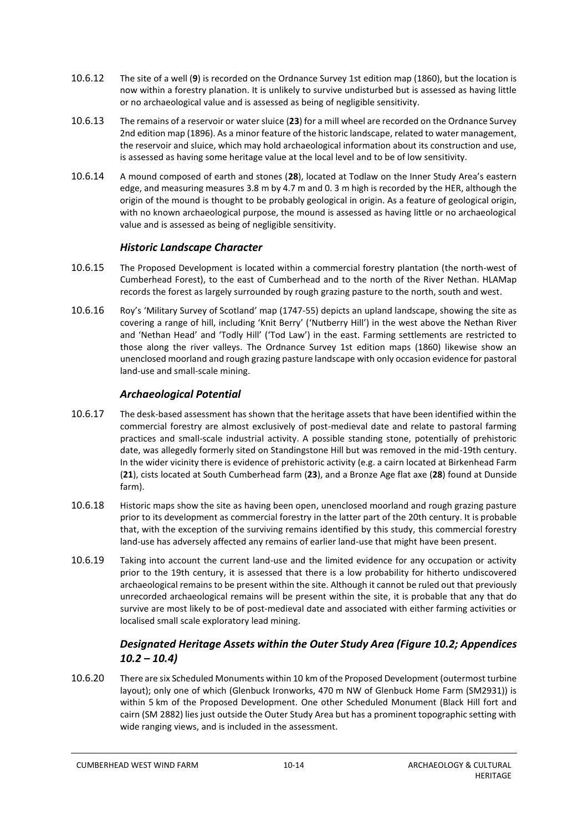- 10.6.12 The site of a well (**9**) is recorded on the Ordnance Survey 1st edition map (1860), but the location is now within a forestry planation. It is unlikely to survive undisturbed but is assessed as having little or no archaeological value and is assessed as being of negligible sensitivity.
- 10.6.13 The remains of a reservoir or water sluice (**23**) for a mill wheel are recorded on the Ordnance Survey 2nd edition map (1896). As a minor feature of the historic landscape, related to water management, the reservoir and sluice, which may hold archaeological information about its construction and use, is assessed as having some heritage value at the local level and to be of low sensitivity.
- 10.6.14 A mound composed of earth and stones (**28**), located at Todlaw on the Inner Study Area's eastern edge, and measuring measures 3.8 m by 4.7 m and 0. 3 m high is recorded by the HER, although the origin of the mound is thought to be probably geological in origin. As a feature of geological origin, with no known archaeological purpose, the mound is assessed as having little or no archaeological value and is assessed as being of negligible sensitivity.

### *Historic Landscape Character*

- 10.6.15 The Proposed Development is located within a commercial forestry plantation (the north-west of Cumberhead Forest), to the east of Cumberhead and to the north of the River Nethan. HLAMap records the forest as largely surrounded by rough grazing pasture to the north, south and west.
- 10.6.16 Roy's 'Military Survey of Scotland' map (1747-55) depicts an upland landscape, showing the site as covering a range of hill, including 'Knit Berry' ('Nutberry Hill') in the west above the Nethan River and 'Nethan Head' and 'Todly Hill' ('Tod Law') in the east. Farming settlements are restricted to those along the river valleys. The Ordnance Survey 1st edition maps (1860) likewise show an unenclosed moorland and rough grazing pasture landscape with only occasion evidence for pastoral land-use and small-scale mining.

### *Archaeological Potential*

- 10.6.17 The desk-based assessment has shown that the heritage assets that have been identified within the commercial forestry are almost exclusively of post-medieval date and relate to pastoral farming practices and small-scale industrial activity. A possible standing stone, potentially of prehistoric date, was allegedly formerly sited on Standingstone Hill but was removed in the mid-19th century. In the wider vicinity there is evidence of prehistoric activity (e.g. a cairn located at Birkenhead Farm (**21**), cists located at South Cumberhead farm (**23**), and a Bronze Age flat axe (**28**) found at Dunside farm).
- 10.6.18 Historic maps show the site as having been open, unenclosed moorland and rough grazing pasture prior to its development as commercial forestry in the latter part of the 20th century. It is probable that, with the exception of the surviving remains identified by this study, this commercial forestry land-use has adversely affected any remains of earlier land-use that might have been present.
- 10.6.19 Taking into account the current land-use and the limited evidence for any occupation or activity prior to the 19th century, it is assessed that there is a low probability for hitherto undiscovered archaeological remains to be present within the site. Although it cannot be ruled out that previously unrecorded archaeological remains will be present within the site, it is probable that any that do survive are most likely to be of post-medieval date and associated with either farming activities or localised small scale exploratory lead mining.

# *Designated Heritage Assets within the Outer Study Area (Figure 10.2; Appendices 10.2 – 10.4)*

10.6.20 There are six Scheduled Monuments within 10 km of the Proposed Development (outermost turbine layout); only one of which (Glenbuck Ironworks, 470 m NW of Glenbuck Home Farm (SM2931)) is within 5 km of the Proposed Development. One other Scheduled Monument (Black Hill fort and cairn (SM 2882) lies just outside the Outer Study Area but has a prominent topographic setting with wide ranging views, and is included in the assessment.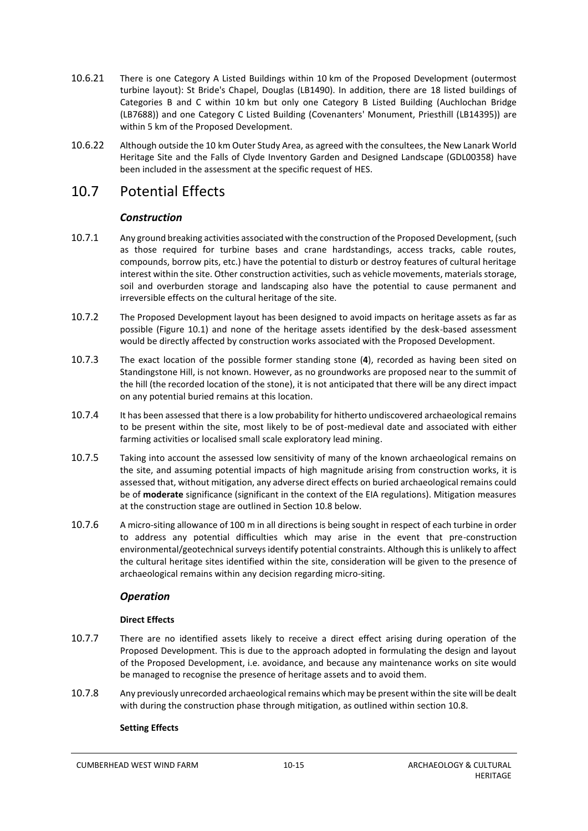- 10.6.21 There is one Category A Listed Buildings within 10 km of the Proposed Development (outermost turbine layout): St Bride's Chapel, Douglas (LB1490). In addition, there are 18 listed buildings of Categories B and C within 10 km but only one Category B Listed Building (Auchlochan Bridge (LB7688)) and one Category C Listed Building (Covenanters' Monument, Priesthill (LB14395)) are within 5 km of the Proposed Development.
- 10.6.22 Although outside the 10 km Outer Study Area, as agreed with the consultees, the New Lanark World Heritage Site and the Falls of Clyde Inventory Garden and Designed Landscape (GDL00358) have been included in the assessment at the specific request of HES.

# <span id="page-17-0"></span>10.7 Potential Effects

### *Construction*

- 10.7.1 Any ground breaking activities associated with the construction of the Proposed Development, (such as those required for turbine bases and crane hardstandings, access tracks, cable routes, compounds, borrow pits, etc.) have the potential to disturb or destroy features of cultural heritage interest within the site. Other construction activities, such as vehicle movements, materials storage, soil and overburden storage and landscaping also have the potential to cause permanent and irreversible effects on the cultural heritage of the site.
- 10.7.2 The Proposed Development layout has been designed to avoid impacts on heritage assets as far as possible (Figure 10.1) and none of the heritage assets identified by the desk-based assessment would be directly affected by construction works associated with the Proposed Development.
- 10.7.3 The exact location of the possible former standing stone (**4**), recorded as having been sited on Standingstone Hill, is not known. However, as no groundworks are proposed near to the summit of the hill (the recorded location of the stone), it is not anticipated that there will be any direct impact on any potential buried remains at this location.
- 10.7.4 It has been assessed that there is a low probability for hitherto undiscovered archaeological remains to be present within the site, most likely to be of post-medieval date and associated with either farming activities or localised small scale exploratory lead mining.
- 10.7.5 Taking into account the assessed low sensitivity of many of the known archaeological remains on the site, and assuming potential impacts of high magnitude arising from construction works, it is assessed that, without mitigation, any adverse direct effects on buried archaeological remains could be of **moderate** significance (significant in the context of the EIA regulations). Mitigation measures at the construction stage are outlined in Section 10.8 below.
- 10.7.6 A micro-siting allowance of 100 m in all directions is being sought in respect of each turbine in order to address any potential difficulties which may arise in the event that pre-construction environmental/geotechnical surveys identify potential constraints. Although this is unlikely to affect the cultural heritage sites identified within the site, consideration will be given to the presence of archaeological remains within any decision regarding micro-siting.

# *Operation*

### **Direct Effects**

- 10.7.7 There are no identified assets likely to receive a direct effect arising during operation of the Proposed Development. This is due to the approach adopted in formulating the design and layout of the Proposed Development, i.e. avoidance, and because any maintenance works on site would be managed to recognise the presence of heritage assets and to avoid them.
- 10.7.8 Any previously unrecorded archaeological remains which may be present within the site will be dealt with during the construction phase through mitigation, as outlined within section 10.8.

### **Setting Effects**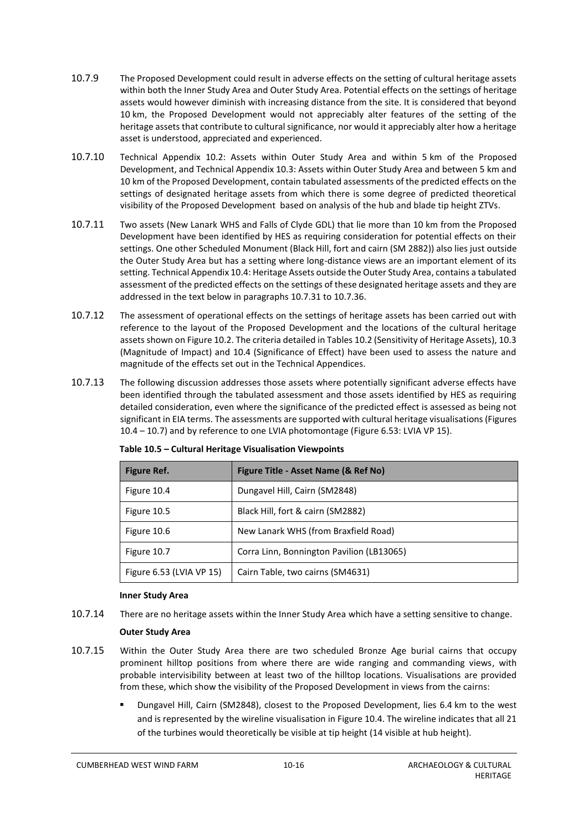- 10.7.9 The Proposed Development could result in adverse effects on the setting of cultural heritage assets within both the Inner Study Area and Outer Study Area. Potential effects on the settings of heritage assets would however diminish with increasing distance from the site. It is considered that beyond 10 km, the Proposed Development would not appreciably alter features of the setting of the heritage assets that contribute to cultural significance, nor would it appreciably alter how a heritage asset is understood, appreciated and experienced.
- 10.7.10 Technical Appendix 10.2: Assets within Outer Study Area and within 5 km of the Proposed Development, and Technical Appendix 10.3: Assets within Outer Study Area and between 5 km and 10 km of the Proposed Development, contain tabulated assessments of the predicted effects on the settings of designated heritage assets from which there is some degree of predicted theoretical visibility of the Proposed Development based on analysis of the hub and blade tip height ZTVs.
- 10.7.11 Two assets (New Lanark WHS and Falls of Clyde GDL) that lie more than 10 km from the Proposed Development have been identified by HES as requiring consideration for potential effects on their settings. One other Scheduled Monument (Black Hill, fort and cairn (SM 2882)) also lies just outside the Outer Study Area but has a setting where long-distance views are an important element of its setting. Technical Appendix 10.4: Heritage Assets outside the Outer Study Area, contains a tabulated assessment of the predicted effects on the settings of these designated heritage assets and they are addressed in the text below in paragraph[s 10.7.31](#page-20-0) to [10.7.36.](#page-21-3)
- 10.7.12 The assessment of operational effects on the settings of heritage assets has been carried out with reference to the layout of the Proposed Development and the locations of the cultural heritage assets shown on Figure 10.2. The criteria detailed in Tables 10.2 (Sensitivity of Heritage Assets), 10.3 (Magnitude of Impact) and 10.4 (Significance of Effect) have been used to assess the nature and magnitude of the effects set out in the Technical Appendices.
- 10.7.13 The following discussion addresses those assets where potentially significant adverse effects have been identified through the tabulated assessment and those assets identified by HES as requiring detailed consideration, even where the significance of the predicted effect is assessed as being not significant in EIA terms. The assessments are supported with cultural heritage visualisations (Figures 10.4 – 10.7) and by reference to one LVIA photomontage (Figure 6.53: LVIA VP 15).

| Figure Ref.              | Figure Title - Asset Name (& Ref No)      |  |
|--------------------------|-------------------------------------------|--|
| Figure 10.4              | Dungavel Hill, Cairn (SM2848)             |  |
| Figure 10.5              | Black Hill, fort & cairn (SM2882)         |  |
| Figure 10.6              | New Lanark WHS (from Braxfield Road)      |  |
| Figure 10.7              | Corra Linn, Bonnington Pavilion (LB13065) |  |
| Figure 6.53 (LVIA VP 15) | Cairn Table, two cairns (SM4631)          |  |

**Table 10.5 – Cultural Heritage Visualisation Viewpoints**

#### **Inner Study Area**

10.7.14 There are no heritage assets within the Inner Study Area which have a setting sensitive to change.

### **Outer Study Area**

- <span id="page-18-0"></span>10.7.15 Within the Outer Study Area there are two scheduled Bronze Age burial cairns that occupy prominent hilltop positions from where there are wide ranging and commanding views, with probable intervisibility between at least two of the hilltop locations. Visualisations are provided from these, which show the visibility of the Proposed Development in views from the cairns:
	- Dungavel Hill, Cairn (SM2848), closest to the Proposed Development, lies 6.4 km to the west and is represented by the wireline visualisation in Figure 10.4. The wireline indicates that all 21 of the turbines would theoretically be visible at tip height (14 visible at hub height).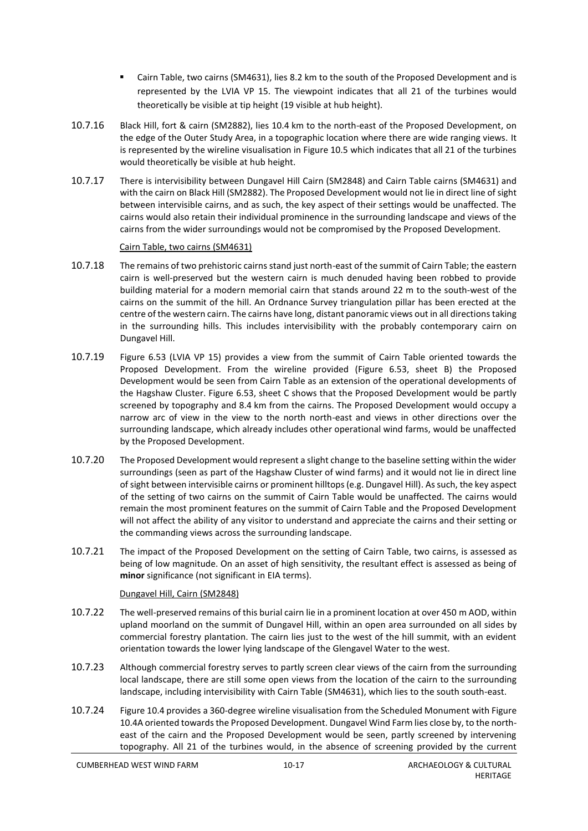- Cairn Table, two cairns (SM4631), lies 8.2 km to the south of the Proposed Development and is represented by the LVIA VP 15. The viewpoint indicates that all 21 of the turbines would theoretically be visible at tip height (19 visible at hub height).
- 10.7.16 Black Hill, fort & cairn (SM2882), lies 10.4 km to the north-east of the Proposed Development, on the edge of the Outer Study Area, in a topographic location where there are wide ranging views. It is represented by the wireline visualisation in Figure 10.5 which indicates that all 21 of the turbines would theoretically be visible at hub height.
- 10.7.17 There is intervisibility between Dungavel Hill Cairn (SM2848) and Cairn Table cairns (SM4631) and with the cairn on Black Hill (SM2882). The Proposed Development would not lie in direct line of sight between intervisible cairns, and as such, the key aspect of their settings would be unaffected. The cairns would also retain their individual prominence in the surrounding landscape and views of the cairns from the wider surroundings would not be compromised by the Proposed Development.

#### Cairn Table, two cairns (SM4631)

- 10.7.18 The remains of two prehistoric cairns stand just north-east of the summit of Cairn Table; the eastern cairn is well-preserved but the western cairn is much denuded having been robbed to provide building material for a modern memorial cairn that stands around 22 m to the south-west of the cairns on the summit of the hill. An Ordnance Survey triangulation pillar has been erected at the centre of the western cairn. The cairns have long, distant panoramic views out in all directions taking in the surrounding hills. This includes intervisibility with the probably contemporary cairn on Dungavel Hill.
- 10.7.19 Figure 6.53 (LVIA VP 15) provides a view from the summit of Cairn Table oriented towards the Proposed Development. From the wireline provided (Figure 6.53, sheet B) the Proposed Development would be seen from Cairn Table as an extension of the operational developments of the Hagshaw Cluster. Figure 6.53, sheet C shows that the Proposed Development would be partly screened by topography and 8.4 km from the cairns. The Proposed Development would occupy a narrow arc of view in the view to the north north-east and views in other directions over the surrounding landscape, which already includes other operational wind farms, would be unaffected by the Proposed Development.
- 10.7.20 The Proposed Development would represent a slight change to the baseline setting within the wider surroundings (seen as part of the Hagshaw Cluster of wind farms) and it would not lie in direct line of sight between intervisible cairns or prominent hilltops (e.g. Dungavel Hill). As such, the key aspect of the setting of two cairns on the summit of Cairn Table would be unaffected. The cairns would remain the most prominent features on the summit of Cairn Table and the Proposed Development will not affect the ability of any visitor to understand and appreciate the cairns and their setting or the commanding views across the surrounding landscape.
- 10.7.21 The impact of the Proposed Development on the setting of Cairn Table, two cairns, is assessed as being of low magnitude. On an asset of high sensitivity, the resultant effect is assessed as being of **minor** significance (not significant in EIA terms).

### Dungavel Hill, Cairn (SM2848)

- 10.7.22 The well-preserved remains of this burial cairn lie in a prominent location at over 450 m AOD, within upland moorland on the summit of Dungavel Hill, within an open area surrounded on all sides by commercial forestry plantation. The cairn lies just to the west of the hill summit, with an evident orientation towards the lower lying landscape of the Glengavel Water to the west.
- 10.7.23 Although commercial forestry serves to partly screen clear views of the cairn from the surrounding local landscape, there are still some open views from the location of the cairn to the surrounding landscape, including intervisibility with Cairn Table (SM4631), which lies to the south south-east.
- 10.7.24 Figure 10.4 provides a 360-degree wireline visualisation from the Scheduled Monument with Figure 10.4A oriented towards the Proposed Development. Dungavel Wind Farm lies close by, to the northeast of the cairn and the Proposed Development would be seen, partly screened by intervening topography. All 21 of the turbines would, in the absence of screening provided by the current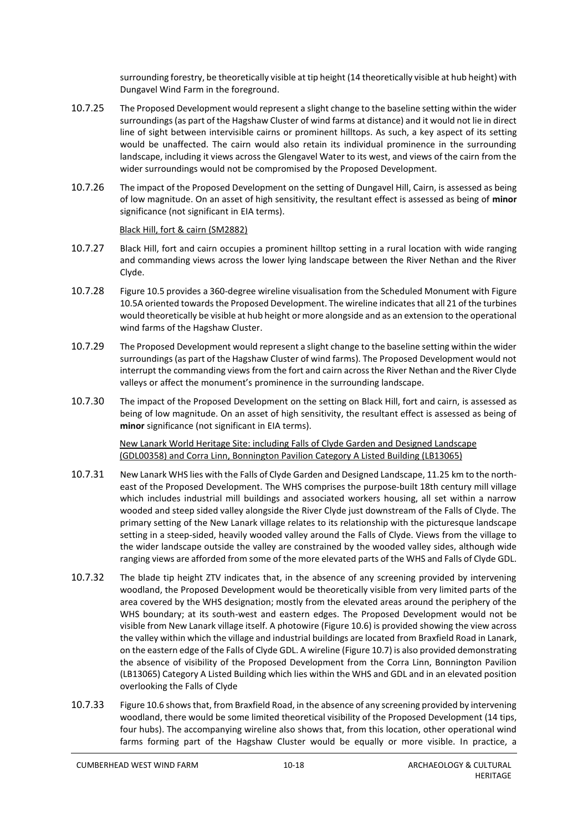surrounding forestry, be theoretically visible at tip height (14 theoretically visible at hub height) with Dungavel Wind Farm in the foreground.

- 10.7.25 The Proposed Development would represent a slight change to the baseline setting within the wider surroundings (as part of the Hagshaw Cluster of wind farms at distance) and it would not lie in direct line of sight between intervisible cairns or prominent hilltops. As such, a key aspect of its setting would be unaffected. The cairn would also retain its individual prominence in the surrounding landscape, including it views across the Glengavel Water to its west, and views of the cairn from the wider surroundings would not be compromised by the Proposed Development.
- 10.7.26 The impact of the Proposed Development on the setting of Dungavel Hill, Cairn, is assessed as being of low magnitude. On an asset of high sensitivity, the resultant effect is assessed as being of **minor** significance (not significant in EIA terms).

#### Black Hill, fort & cairn (SM2882)

- 10.7.27 Black Hill, fort and cairn occupies a prominent hilltop setting in a rural location with wide ranging and commanding views across the lower lying landscape between the River Nethan and the River Clyde.
- 10.7.28 Figure 10.5 provides a 360-degree wireline visualisation from the Scheduled Monument with Figure 10.5A oriented towards the Proposed Development. The wireline indicates that all 21 of the turbines would theoretically be visible at hub height or more alongside and as an extension to the operational wind farms of the Hagshaw Cluster.
- 10.7.29 The Proposed Development would represent a slight change to the baseline setting within the wider surroundings (as part of the Hagshaw Cluster of wind farms). The Proposed Development would not interrupt the commanding views from the fort and cairn across the River Nethan and the River Clyde valleys or affect the monument's prominence in the surrounding landscape.
- 10.7.30 The impact of the Proposed Development on the setting on Black Hill, fort and cairn, is assessed as being of low magnitude. On an asset of high sensitivity, the resultant effect is assessed as being of **minor** significance (not significant in EIA terms).

New Lanark World Heritage Site: including Falls of Clyde Garden and Designed Landscape (GDL00358) and Corra Linn, Bonnington Pavilion Category A Listed Building (LB13065)

- <span id="page-20-0"></span>10.7.31 New Lanark WHS lies with the Falls of Clyde Garden and Designed Landscape, 11.25 km to the northeast of the Proposed Development. The WHS comprises the purpose-built 18th century mill village which includes industrial mill buildings and associated workers housing, all set within a narrow wooded and steep sided valley alongside the River Clyde just downstream of the Falls of Clyde. The primary setting of the New Lanark village relates to its relationship with the picturesque landscape setting in a steep-sided, heavily wooded valley around the Falls of Clyde. Views from the village to the wider landscape outside the valley are constrained by the wooded valley sides, although wide ranging views are afforded from some of the more elevated parts of the WHS and Falls of Clyde GDL.
- 10.7.32 The blade tip height ZTV indicates that, in the absence of any screening provided by intervening woodland, the Proposed Development would be theoretically visible from very limited parts of the area covered by the WHS designation; mostly from the elevated areas around the periphery of the WHS boundary; at its south*-*west and eastern edges. The Proposed Development would not be visible from New Lanark village itself. A photowire (Figure 10.6) is provided showing the view across the valley within which the village and industrial buildings are located from Braxfield Road in Lanark, on the eastern edge of the Falls of Clyde GDL. A wireline (Figure 10.7) is also provided demonstrating the absence of visibility of the Proposed Development from the Corra Linn, Bonnington Pavilion (LB13065) Category A Listed Building which lies within the WHS and GDL and in an elevated position overlooking the Falls of Clyde
- 10.7.33 Figure 10.6 shows that, from Braxfield Road, in the absence of any screening provided by intervening woodland, there would be some limited theoretical visibility of the Proposed Development (14 tips, four hubs). The accompanying wireline also shows that, from this location, other operational wind farms forming part of the Hagshaw Cluster would be equally or more visible. In practice, a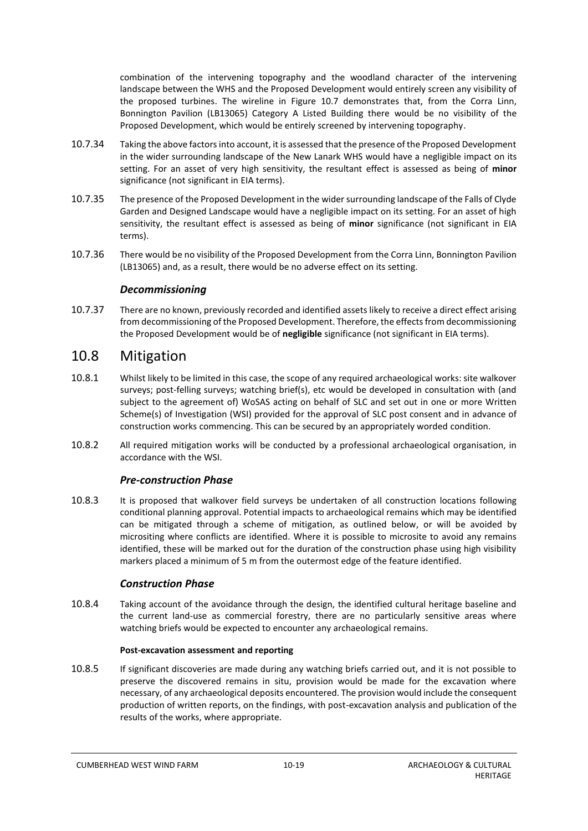combination of the intervening topography and the woodland character of the intervening landscape between the WHS and the Proposed Development would entirely screen any visibility of the proposed turbines. The wireline in Figure 10.7 demonstrates that, from the Corra Linn, Bonnington Pavilion (LB13065) Category A Listed Building there would be no visibility of the Proposed Development, which would be entirely screened by intervening topography.

- 10.7.34 Taking the above factors into account, it is assessed that the presence of the Proposed Development in the wider surrounding landscape of the New Lanark WHS would have a negligible impact on its setting. For an asset of very high sensitivity, the resultant effect is assessed as being of **minor** significance (not significant in EIA terms).
- 10.7.35 The presence of the Proposed Development in the wider surrounding landscape of the Falls of Clyde Garden and Designed Landscape would have a negligible impact on its setting. For an asset of high sensitivity, the resultant effect is assessed as being of **minor** significance (not significant in EIA terms).
- <span id="page-21-3"></span>10.7.36 There would be no visibility of the Proposed Development from the Corra Linn, Bonnington Pavilion (LB13065) and, as a result, there would be no adverse effect on its setting.

### *Decommissioning*

10.7.37 There are no known, previously recorded and identified assets likely to receive a direct effect arising from decommissioning of the Proposed Development. Therefore, the effects from decommissioning the Proposed Development would be of **negligible** significance (not significant in EIA terms).

# <span id="page-21-0"></span>10.8 Mitigation

- <span id="page-21-1"></span>10.8.1 Whilst likely to be limited in this case, the scope of any required archaeological works: site walkover surveys; post-felling surveys; watching brief(s), etc would be developed in consultation with (and subject to the agreement of) WoSAS acting on behalf of SLC and set out in one or more Written Scheme(s) of Investigation (WSI) provided for the approval of SLC post consent and in advance of construction works commencing. This can be secured by an appropriately worded condition.
- 10.8.2 All required mitigation works will be conducted by a professional archaeological organisation, in accordance with the WSI.

### *Pre-construction Phase*

10.8.3 It is proposed that walkover field surveys be undertaken of all construction locations following conditional planning approval. Potential impacts to archaeological remains which may be identified can be mitigated through a scheme of mitigation, as outlined below, or will be avoided by micrositing where conflicts are identified. Where it is possible to microsite to avoid any remains identified, these will be marked out for the duration of the construction phase using high visibility markers placed a minimum of 5 m from the outermost edge of the feature identified.

### *Construction Phase*

10.8.4 Taking account of the avoidance through the design, the identified cultural heritage baseline and the current land-use as commercial forestry, there are no particularly sensitive areas where watching briefs would be expected to encounter any archaeological remains.

### **Post-excavation assessment and reporting**

<span id="page-21-2"></span>10.8.5 If significant discoveries are made during any watching briefs carried out, and it is not possible to preserve the discovered remains in situ, provision would be made for the excavation where necessary, of any archaeological deposits encountered. The provision would include the consequent production of written reports, on the findings, with post-excavation analysis and publication of the results of the works, where appropriate.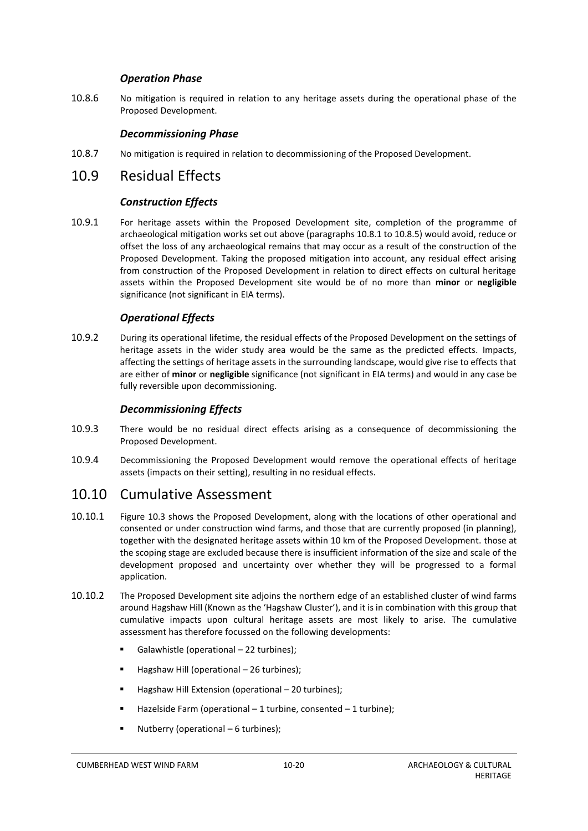## *Operation Phase*

10.8.6 No mitigation is required in relation to any heritage assets during the operational phase of the Proposed Development.

## *Decommissioning Phase*

10.8.7 No mitigation is required in relation to decommissioning of the Proposed Development.

# <span id="page-22-0"></span>10.9 Residual Effects

# *Construction Effects*

10.9.1 For heritage assets within the Proposed Development site, completion of the programme of archaeological mitigation works set out above (paragraph[s 10.8.1](#page-21-1) t[o 10.8.5\)](#page-21-2) would avoid, reduce or offset the loss of any archaeological remains that may occur as a result of the construction of the Proposed Development. Taking the proposed mitigation into account, any residual effect arising from construction of the Proposed Development in relation to direct effects on cultural heritage assets within the Proposed Development site would be of no more than **minor** or **negligible** significance (not significant in EIA terms).

# *Operational Effects*

10.9.2 During its operational lifetime, the residual effects of the Proposed Development on the settings of heritage assets in the wider study area would be the same as the predicted effects. Impacts, affecting the settings of heritage assets in the surrounding landscape, would give rise to effects that are either of **minor** or **negligible** significance (not significant in EIA terms) and would in any case be fully reversible upon decommissioning.

# *Decommissioning Effects*

- 10.9.3 There would be no residual direct effects arising as a consequence of decommissioning the Proposed Development.
- 10.9.4 Decommissioning the Proposed Development would remove the operational effects of heritage assets (impacts on their setting), resulting in no residual effects.

# <span id="page-22-1"></span>10.10 Cumulative Assessment

- 10.10.1 Figure 10.3 shows the Proposed Development, along with the locations of other operational and consented or under construction wind farms, and those that are currently proposed (in planning), together with the designated heritage assets within 10 km of the Proposed Development. those at the scoping stage are excluded because there is insufficient information of the size and scale of the development proposed and uncertainty over whether they will be progressed to a formal application.
- 10.10.2 The Proposed Development site adjoins the northern edge of an established cluster of wind farms around Hagshaw Hill (Known as the 'Hagshaw Cluster'), and it is in combination with this group that cumulative impacts upon cultural heritage assets are most likely to arise. The cumulative assessment has therefore focussed on the following developments:
	- Galawhistle (operational 22 turbines);
	- Hagshaw Hill (operational 26 turbines);
	- Hagshaw Hill Extension (operational 20 turbines);
	- Hazelside Farm (operational  $-1$  turbine, consented  $-1$  turbine);
	- Nutberry (operational 6 turbines);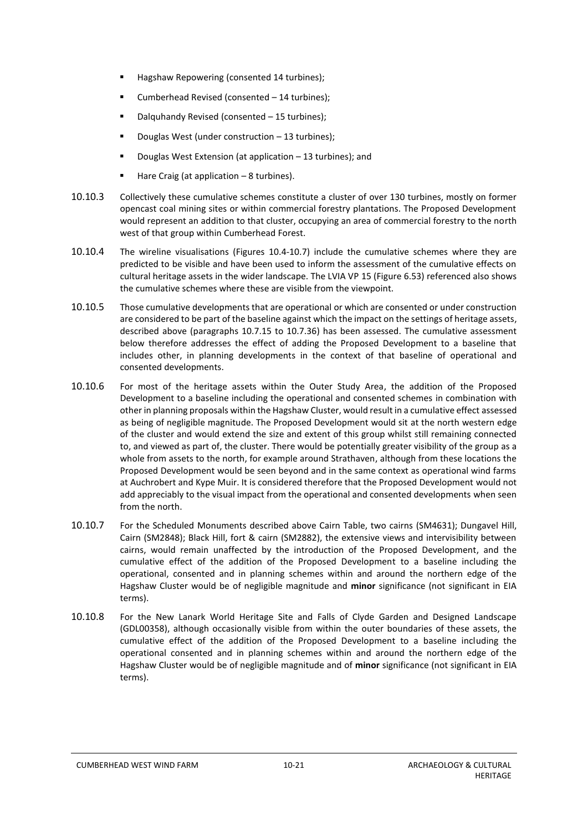- Hagshaw Repowering (consented 14 turbines);
- Cumberhead Revised (consented 14 turbines);
- Dalquhandy Revised (consented 15 turbines):
- Douglas West (under construction  $-13$  turbines);
- Douglas West Extension (at application 13 turbines); and
- Hare Craig (at application  $-8$  turbines).
- 10.10.3 Collectively these cumulative schemes constitute a cluster of over 130 turbines, mostly on former opencast coal mining sites or within commercial forestry plantations. The Proposed Development would represent an addition to that cluster, occupying an area of commercial forestry to the north west of that group within Cumberhead Forest.
- 10.10.4 The wireline visualisations (Figures 10.4-10.7) include the cumulative schemes where they are predicted to be visible and have been used to inform the assessment of the cumulative effects on cultural heritage assets in the wider landscape. The LVIA VP 15 (Figure 6.53) referenced also shows the cumulative schemes where these are visible from the viewpoint.
- 10.10.5 Those cumulative developments that are operational or which are consented or under construction are considered to be part of the baseline against which the impact on the settings of heritage assets, described above (paragraphs [10.7.15](#page-18-0) to [10.7.36\)](#page-21-3) has been assessed. The cumulative assessment below therefore addresses the effect of adding the Proposed Development to a baseline that includes other, in planning developments in the context of that baseline of operational and consented developments.
- 10.10.6 For most of the heritage assets within the Outer Study Area, the addition of the Proposed Development to a baseline including the operational and consented schemes in combination with other in planning proposals within the Hagshaw Cluster, would result in a cumulative effect assessed as being of negligible magnitude. The Proposed Development would sit at the north western edge of the cluster and would extend the size and extent of this group whilst still remaining connected to, and viewed as part of, the cluster. There would be potentially greater visibility of the group as a whole from assets to the north, for example around Strathaven, although from these locations the Proposed Development would be seen beyond and in the same context as operational wind farms at Auchrobert and Kype Muir. It is considered therefore that the Proposed Development would not add appreciably to the visual impact from the operational and consented developments when seen from the north.
- 10.10.7 For the Scheduled Monuments described above Cairn Table, two cairns (SM4631); Dungavel Hill, Cairn (SM2848); Black Hill, fort & cairn (SM2882), the extensive views and intervisibility between cairns, would remain unaffected by the introduction of the Proposed Development, and the cumulative effect of the addition of the Proposed Development to a baseline including the operational, consented and in planning schemes within and around the northern edge of the Hagshaw Cluster would be of negligible magnitude and **minor** significance (not significant in EIA terms).
- 10.10.8 For the New Lanark World Heritage Site and Falls of Clyde Garden and Designed Landscape (GDL00358), although occasionally visible from within the outer boundaries of these assets, the cumulative effect of the addition of the Proposed Development to a baseline including the operational consented and in planning schemes within and around the northern edge of the Hagshaw Cluster would be of negligible magnitude and of **minor** significance (not significant in EIA terms).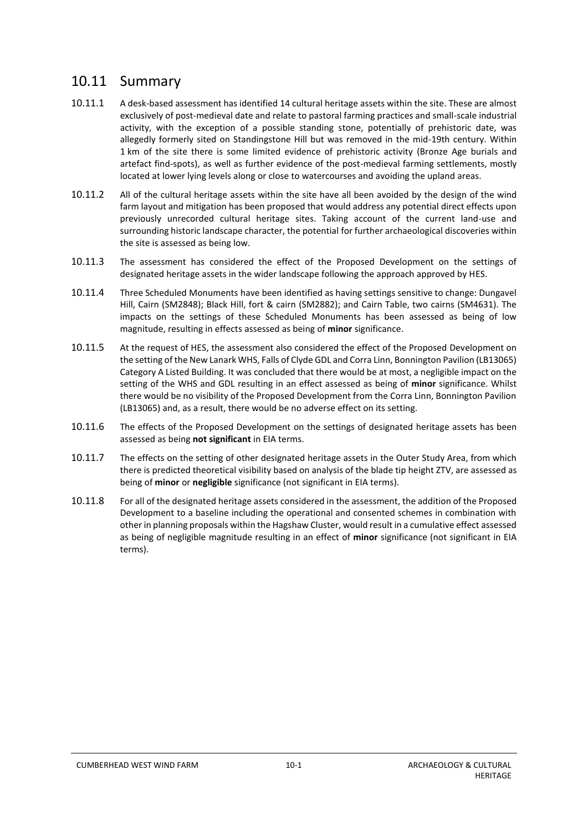# <span id="page-24-0"></span>10.11 Summary

- 10.11.1 A desk-based assessment has identified 14 cultural heritage assets within the site. These are almost exclusively of post-medieval date and relate to pastoral farming practices and small-scale industrial activity, with the exception of a possible standing stone, potentially of prehistoric date, was allegedly formerly sited on Standingstone Hill but was removed in the mid-19th century. Within 1 km of the site there is some limited evidence of prehistoric activity (Bronze Age burials and artefact find-spots), as well as further evidence of the post-medieval farming settlements, mostly located at lower lying levels along or close to watercourses and avoiding the upland areas.
- 10.11.2 All of the cultural heritage assets within the site have all been avoided by the design of the wind farm layout and mitigation has been proposed that would address any potential direct effects upon previously unrecorded cultural heritage sites. Taking account of the current land-use and surrounding historic landscape character, the potential for further archaeological discoveries within the site is assessed as being low.
- 10.11.3 The assessment has considered the effect of the Proposed Development on the settings of designated heritage assets in the wider landscape following the approach approved by HES.
- 10.11.4 Three Scheduled Monuments have been identified as having settings sensitive to change: Dungavel Hill, Cairn (SM2848); Black Hill, fort & cairn (SM2882); and Cairn Table, two cairns (SM4631). The impacts on the settings of these Scheduled Monuments has been assessed as being of low magnitude, resulting in effects assessed as being of **minor** significance.
- 10.11.5 At the request of HES, the assessment also considered the effect of the Proposed Development on the setting of the New Lanark WHS, Falls of Clyde GDL and Corra Linn, Bonnington Pavilion (LB13065) Category A Listed Building. It was concluded that there would be at most, a negligible impact on the setting of the WHS and GDL resulting in an effect assessed as being of **minor** significance. Whilst there would be no visibility of the Proposed Development from the Corra Linn, Bonnington Pavilion (LB13065) and, as a result, there would be no adverse effect on its setting.
- 10.11.6 The effects of the Proposed Development on the settings of designated heritage assets has been assessed as being **not significant** in EIA terms.
- 10.11.7 The effects on the setting of other designated heritage assets in the Outer Study Area, from which there is predicted theoretical visibility based on analysis of the blade tip height ZTV, are assessed as being of **minor** or **negligible** significance (not significant in EIA terms).
- 10.11.8 For all of the designated heritage assets considered in the assessment, the addition of the Proposed Development to a baseline including the operational and consented schemes in combination with other in planning proposals within the Hagshaw Cluster, would result in a cumulative effect assessed as being of negligible magnitude resulting in an effect of **minor** significance (not significant in EIA terms).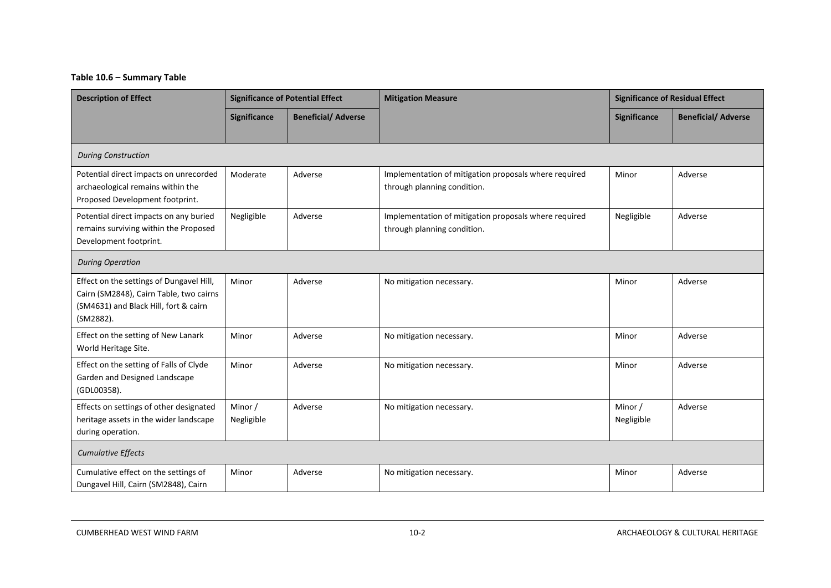### **Table 10.6 – Summary Table**

| <b>Description of Effect</b>                                                                                                              | <b>Significance of Potential Effect</b> |                            | <b>Mitigation Measure</b>                                                            | <b>Significance of Residual Effect</b> |                            |
|-------------------------------------------------------------------------------------------------------------------------------------------|-----------------------------------------|----------------------------|--------------------------------------------------------------------------------------|----------------------------------------|----------------------------|
|                                                                                                                                           | Significance                            | <b>Beneficial/ Adverse</b> |                                                                                      | <b>Significance</b>                    | <b>Beneficial/ Adverse</b> |
| <b>During Construction</b>                                                                                                                |                                         |                            |                                                                                      |                                        |                            |
| Potential direct impacts on unrecorded<br>archaeological remains within the<br>Proposed Development footprint.                            | Moderate                                | Adverse                    | Implementation of mitigation proposals where required<br>through planning condition. | Minor                                  | Adverse                    |
| Potential direct impacts on any buried<br>remains surviving within the Proposed<br>Development footprint.                                 | Negligible                              | Adverse                    | Implementation of mitigation proposals where required<br>through planning condition. | Negligible                             | Adverse                    |
| <b>During Operation</b>                                                                                                                   |                                         |                            |                                                                                      |                                        |                            |
| Effect on the settings of Dungavel Hill,<br>Cairn (SM2848), Cairn Table, two cairns<br>(SM4631) and Black Hill, fort & cairn<br>(SM2882). | Minor                                   | Adverse                    | No mitigation necessary.                                                             | Minor                                  | Adverse                    |
| Effect on the setting of New Lanark<br>World Heritage Site.                                                                               | Minor                                   | Adverse                    | No mitigation necessary.                                                             | Minor                                  | Adverse                    |
| Effect on the setting of Falls of Clyde<br>Garden and Designed Landscape<br>(GDL00358).                                                   | Minor                                   | Adverse                    | No mitigation necessary.                                                             | Minor                                  | Adverse                    |
| Effects on settings of other designated<br>heritage assets in the wider landscape<br>during operation.                                    | Minor /<br>Negligible                   | Adverse                    | No mitigation necessary.                                                             | Minor /<br>Negligible                  | Adverse                    |
| <b>Cumulative Effects</b>                                                                                                                 |                                         |                            |                                                                                      |                                        |                            |
| Cumulative effect on the settings of<br>Dungavel Hill, Cairn (SM2848), Cairn                                                              | Minor                                   | Adverse                    | No mitigation necessary.                                                             | Minor                                  | Adverse                    |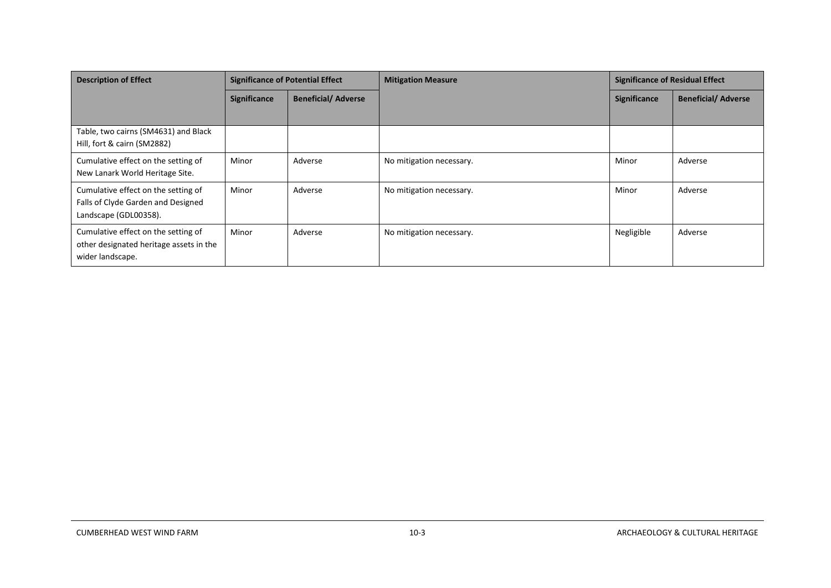| <b>Description of Effect</b>                                                                       | <b>Significance of Potential Effect</b> |                           | <b>Mitigation Measure</b> | <b>Significance of Residual Effect</b> |                            |
|----------------------------------------------------------------------------------------------------|-----------------------------------------|---------------------------|---------------------------|----------------------------------------|----------------------------|
|                                                                                                    | Significance                            | <b>Beneficial/Adverse</b> |                           | Significance                           | <b>Beneficial/ Adverse</b> |
| Table, two cairns (SM4631) and Black<br>Hill, fort & cairn (SM2882)                                |                                         |                           |                           |                                        |                            |
| Cumulative effect on the setting of<br>New Lanark World Heritage Site.                             | Minor                                   | Adverse                   | No mitigation necessary.  | Minor                                  | Adverse                    |
| Cumulative effect on the setting of<br>Falls of Clyde Garden and Designed<br>Landscape (GDL00358). | Minor                                   | Adverse                   | No mitigation necessary.  | Minor                                  | Adverse                    |
| Cumulative effect on the setting of<br>other designated heritage assets in the<br>wider landscape. | Minor                                   | Adverse                   | No mitigation necessary.  | Negligible                             | Adverse                    |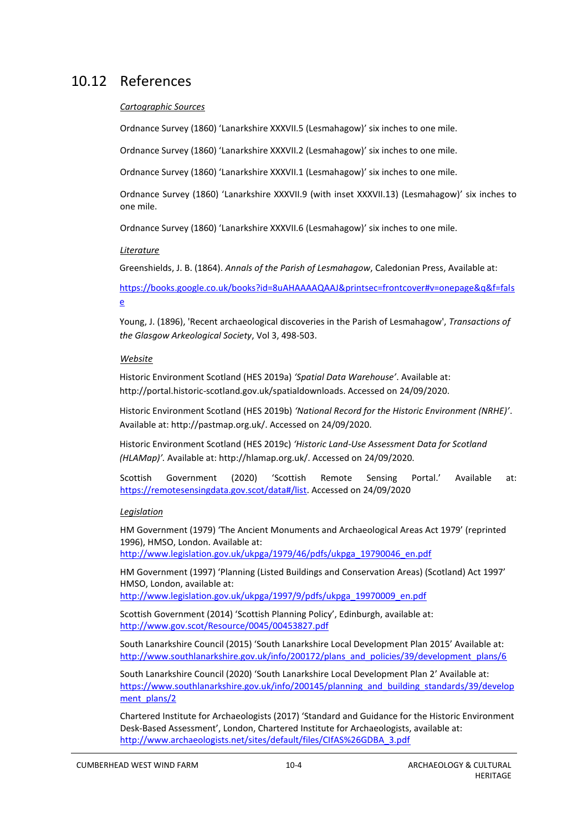# <span id="page-27-0"></span>10.12 References

### *Cartographic Sources*

Ordnance Survey (1860) 'Lanarkshire XXXVII.5 (Lesmahagow)' six inches to one mile.

Ordnance Survey (1860) 'Lanarkshire XXXVII.2 (Lesmahagow)' six inches to one mile.

Ordnance Survey (1860) 'Lanarkshire XXXVII.1 (Lesmahagow)' six inches to one mile.

Ordnance Survey (1860) 'Lanarkshire XXXVII.9 (with inset XXXVII.13) (Lesmahagow)' six inches to one mile.

Ordnance Survey (1860) 'Lanarkshire XXXVII.6 (Lesmahagow)' six inches to one mile.

#### *Literature*

Greenshields, J. B. (1864). *Annals of the Parish of Lesmahagow*, Caledonian Press, Available at:

[https://books.google.co.uk/books?id=8uAHAAAAQAAJ&printsec=frontcover#v=onepage&q&f=fals](https://books.google.co.uk/books?id=8uAHAAAAQAAJ&printsec=frontcover#v=onepage&q&f=false) [e](https://books.google.co.uk/books?id=8uAHAAAAQAAJ&printsec=frontcover#v=onepage&q&f=false)

Young, J. (1896), 'Recent archaeological discoveries in the Parish of Lesmahagow', *Transactions of the Glasgow Arkeological Society*, Vol 3, 498-503.

#### *Website*

Historic Environment Scotland (HES 2019a) *'Spatial Data Warehouse'*. Available at: http://portal.historic-scotland.gov.uk/spatialdownloads. Accessed on 24/09/2020.

Historic Environment Scotland (HES 2019b) *'National Record for the Historic Environment (NRHE)'*. Available at: http://pastmap.org.uk/. Accessed on 24/09/2020.

Historic Environment Scotland (HES 2019c) *'Historic Land-Use Assessment Data for Scotland (HLAMap)'.* Available at: http://hlamap.org.uk/. Accessed on 24/09/2020.

Scottish Government (2020) 'Scottish Remote Sensing Portal.' Available at: [https://remotesensingdata.gov.scot/data#/list.](https://remotesensingdata.gov.scot/data#/list) Accessed on 24/09/2020

### *Legislation*

HM Government (1979) 'The Ancient Monuments and Archaeological Areas Act 1979' (reprinted 1996), HMSO, London. Available at:

[http://www.legislation.gov.uk/ukpga/1979/46/pdfs/ukpga\\_19790046\\_en.pdf](http://www.legislation.gov.uk/ukpga/1979/46/pdfs/ukpga_19790046_en.pdf)

HM Government (1997) 'Planning (Listed Buildings and Conservation Areas) (Scotland) Act 1997' HMSO, London, available at:

[http://www.legislation.gov.uk/ukpga/1997/9/pdfs/ukpga\\_19970009\\_en.pdf](http://www.legislation.gov.uk/ukpga/1997/9/pdfs/ukpga_19970009_en.pdf)

Scottish Government (2014) 'Scottish Planning Policy', Edinburgh, available at: <http://www.gov.scot/Resource/0045/00453827.pdf>

South Lanarkshire Council (2015) 'South Lanarkshire Local Development Plan 2015' Available at: [http://www.southlanarkshire.gov.uk/info/200172/plans\\_and\\_policies/39/development\\_plans/6](http://www.southlanarkshire.gov.uk/info/200172/plans_and_policies/39/development_plans/6)

South Lanarkshire Council (2020) 'South Lanarkshire Local Development Plan 2' Available at: [https://www.southlanarkshire.gov.uk/info/200145/planning\\_and\\_building\\_standards/39/develop](https://www.southlanarkshire.gov.uk/info/200145/planning_and_building_standards/39/development_plans/2) [ment\\_plans/2](https://www.southlanarkshire.gov.uk/info/200145/planning_and_building_standards/39/development_plans/2)

Chartered Institute for Archaeologists (2017) 'Standard and Guidance for the Historic Environment Desk-Based Assessment', London, Chartered Institute for Archaeologists, available at: [http://www.archaeologists.net/sites/default/files/CIfAS%26GDBA\\_3.pdf](http://www.archaeologists.net/sites/default/files/CIfAS%26GDBA_3.pdf)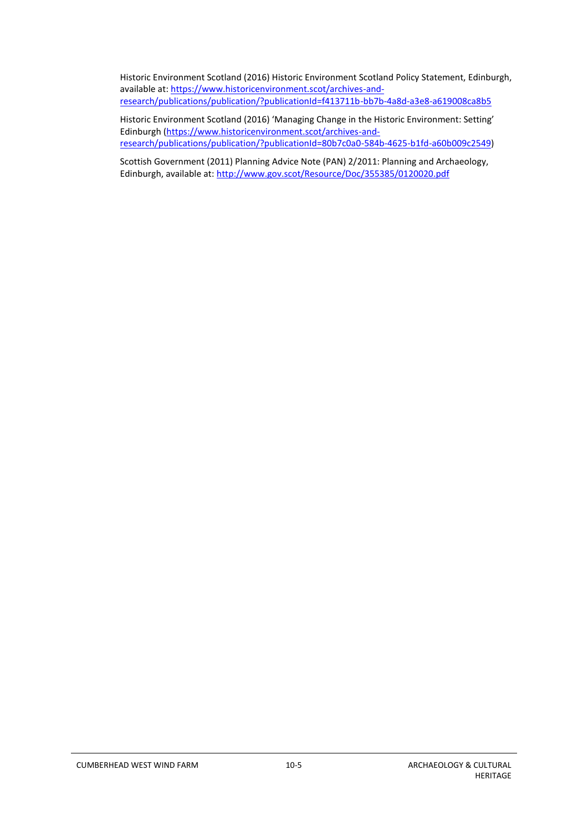Historic Environment Scotland (2016) Historic Environment Scotland Policy Statement, Edinburgh, available at: [https://www.historicenvironment.scot/archives-and](https://www.historicenvironment.scot/archives-and-research/publications/publication/?publicationId=f413711b-bb7b-4a8d-a3e8-a619008ca8b5)[research/publications/publication/?publicationId=f413711b-bb7b-4a8d-a3e8-a619008ca8b5](https://www.historicenvironment.scot/archives-and-research/publications/publication/?publicationId=f413711b-bb7b-4a8d-a3e8-a619008ca8b5)

Historic Environment Scotland (2016) 'Managing Change in the Historic Environment: Setting' Edinburgh [\(https://www.historicenvironment.scot/archives-and](https://www.historicenvironment.scot/archives-and-research/publications/publication/?publicationId=80b7c0a0-584b-4625-b1fd-a60b009c2549)[research/publications/publication/?publicationId=80b7c0a0-584b-4625-b1fd-a60b009c2549\)](https://www.historicenvironment.scot/archives-and-research/publications/publication/?publicationId=80b7c0a0-584b-4625-b1fd-a60b009c2549)

Scottish Government (2011) Planning Advice Note (PAN) 2/2011: Planning and Archaeology, Edinburgh, available at:<http://www.gov.scot/Resource/Doc/355385/0120020.pdf>